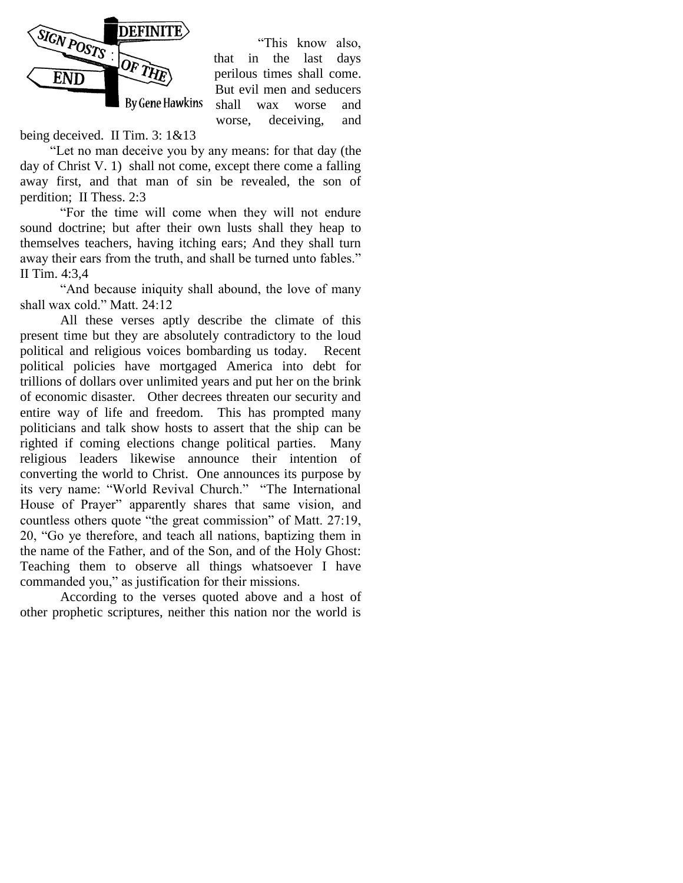

"This know also, that in the last days perilous times shall come. But evil men and seducers shall wax worse and worse, deceiving, and

being deceived. II Tim. 3: 1&13

 "Let no man deceive you by any means: for that day (the day of Christ V. 1) shall not come, except there come a falling away first, and that man of sin be revealed, the son of perdition; II Thess. 2:3

"For the time will come when they will not endure sound doctrine; but after their own lusts shall they heap to themselves teachers, having itching ears; And they shall turn away their ears from the truth, and shall be turned unto fables." II Tim. 4:3,4

"And because iniquity shall abound, the love of many shall wax cold." Matt. 24:12

All these verses aptly describe the climate of this present time but they are absolutely contradictory to the loud political and religious voices bombarding us today. Recent political policies have mortgaged America into debt for trillions of dollars over unlimited years and put her on the brink of economic disaster. Other decrees threaten our security and entire way of life and freedom. This has prompted many politicians and talk show hosts to assert that the ship can be righted if coming elections change political parties. Many religious leaders likewise announce their intention of converting the world to Christ. One announces its purpose by its very name: "World Revival Church." "The International House of Prayer" apparently shares that same vision, and countless others quote "the great commission" of Matt. 27:19, 20, "Go ye therefore, and teach all nations, baptizing them in the name of the Father, and of the Son, and of the Holy Ghost: Teaching them to observe all things whatsoever I have commanded you," as justification for their missions.

According to the verses quoted above and a host of other prophetic scriptures, neither this nation nor the world is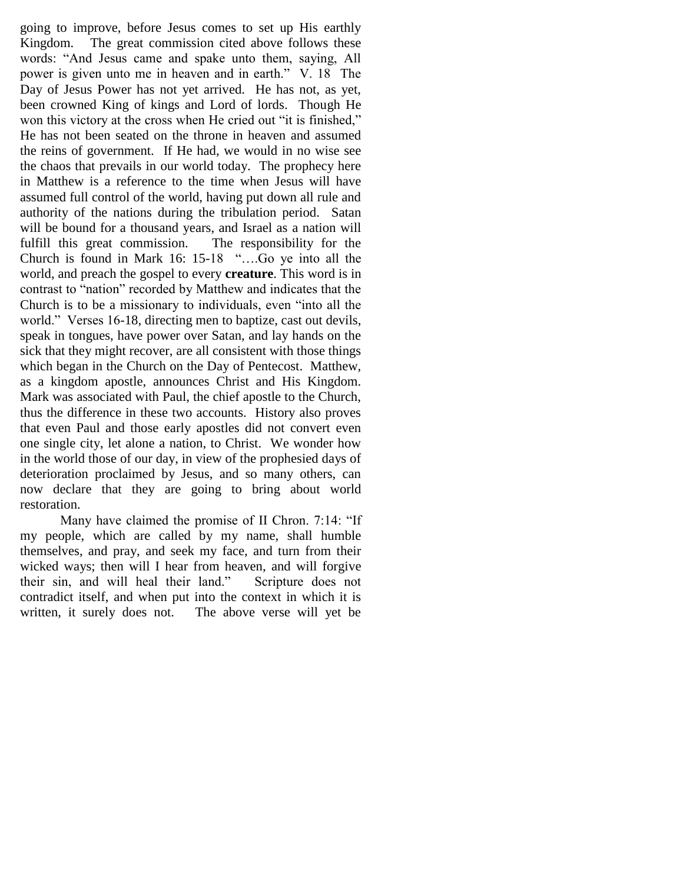going to improve, before Jesus comes to set up His earthly Kingdom. The great commission cited above follows these words: "And Jesus came and spake unto them, saying, All power is given unto me in heaven and in earth." V. 18 The Day of Jesus Power has not yet arrived. He has not, as yet, been crowned King of kings and Lord of lords. Though He won this victory at the cross when He cried out "it is finished," He has not been seated on the throne in heaven and assumed the reins of government. If He had, we would in no wise see the chaos that prevails in our world today. The prophecy here in Matthew is a reference to the time when Jesus will have assumed full control of the world, having put down all rule and authority of the nations during the tribulation period. Satan will be bound for a thousand years, and Israel as a nation will fulfill this great commission. The responsibility for the Church is found in Mark 16: 15-18 "….Go ye into all the world, and preach the gospel to every **creature**. This word is in contrast to "nation" recorded by Matthew and indicates that the Church is to be a missionary to individuals, even "into all the world." Verses 16-18, directing men to baptize, cast out devils, speak in tongues, have power over Satan, and lay hands on the sick that they might recover, are all consistent with those things which began in the Church on the Day of Pentecost. Matthew, as a kingdom apostle, announces Christ and His Kingdom. Mark was associated with Paul, the chief apostle to the Church, thus the difference in these two accounts. History also proves that even Paul and those early apostles did not convert even one single city, let alone a nation, to Christ. We wonder how in the world those of our day, in view of the prophesied days of deterioration proclaimed by Jesus, and so many others, can now declare that they are going to bring about world restoration.

Many have claimed the promise of II Chron. 7:14: "If my people, which are called by my name, shall humble themselves, and pray, and seek my face, and turn from their wicked ways; then will I hear from heaven, and will forgive their sin, and will heal their land." Scripture does not contradict itself, and when put into the context in which it is written, it surely does not. The above verse will yet be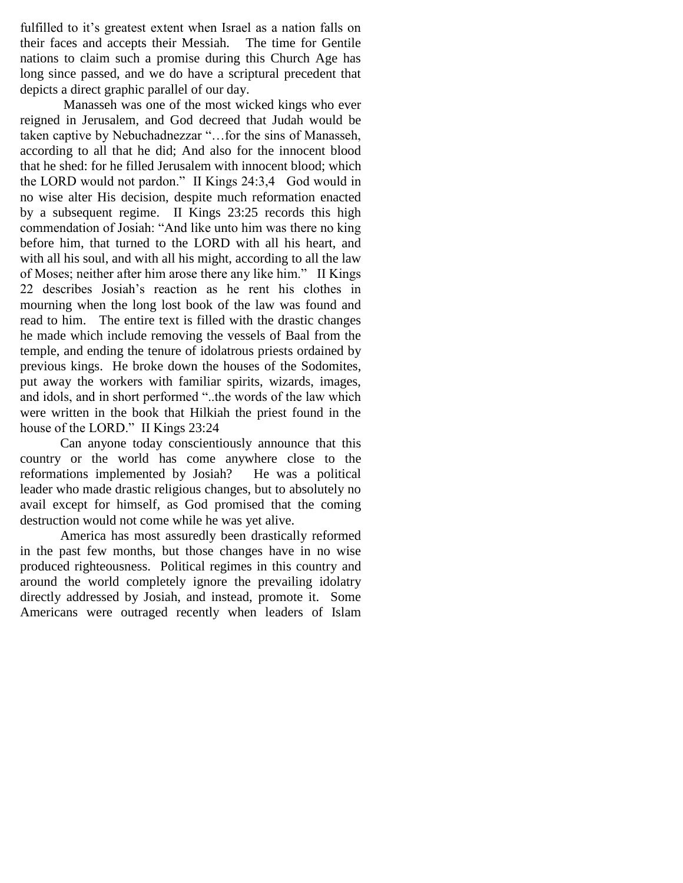fulfilled to it's greatest extent when Israel as a nation falls on their faces and accepts their Messiah. The time for Gentile nations to claim such a promise during this Church Age has long since passed, and we do have a scriptural precedent that depicts a direct graphic parallel of our day.

Manasseh was one of the most wicked kings who ever reigned in Jerusalem, and God decreed that Judah would be taken captive by Nebuchadnezzar "…for the sins of Manasseh, according to all that he did; And also for the innocent blood that he shed: for he filled Jerusalem with innocent blood; which the LORD would not pardon." II Kings 24:3,4 God would in no wise alter His decision, despite much reformation enacted by a subsequent regime. II Kings 23:25 records this high commendation of Josiah: "And like unto him was there no king before him, that turned to the LORD with all his heart, and with all his soul, and with all his might, according to all the law of Moses; neither after him arose there any like him." II Kings 22 describes Josiah's reaction as he rent his clothes in mourning when the long lost book of the law was found and read to him. The entire text is filled with the drastic changes he made which include removing the vessels of Baal from the temple, and ending the tenure of idolatrous priests ordained by previous kings. He broke down the houses of the Sodomites, put away the workers with familiar spirits, wizards, images, and idols, and in short performed "..the words of the law which were written in the book that Hilkiah the priest found in the house of the LORD." II Kings 23:24

Can anyone today conscientiously announce that this country or the world has come anywhere close to the reformations implemented by Josiah? He was a political leader who made drastic religious changes, but to absolutely no avail except for himself, as God promised that the coming destruction would not come while he was yet alive.

America has most assuredly been drastically reformed in the past few months, but those changes have in no wise produced righteousness. Political regimes in this country and around the world completely ignore the prevailing idolatry directly addressed by Josiah, and instead, promote it. Some Americans were outraged recently when leaders of Islam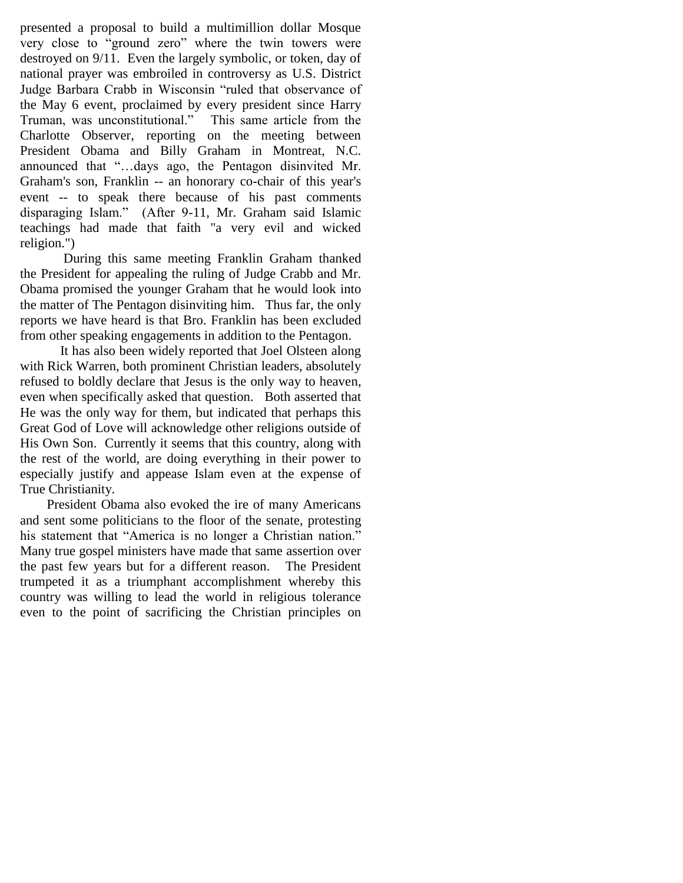presented a proposal to build a multimillion dollar Mosque very close to "ground zero" where the twin towers were destroyed on 9/11. Even the largely symbolic, or token, day of national prayer was embroiled in controversy as U.S. District Judge Barbara Crabb in Wisconsin "ruled that observance of the May 6 event, proclaimed by every president since Harry Truman, was unconstitutional." This same article from the Charlotte Observer, reporting on the meeting between President Obama and Billy Graham in Montreat, N.C. announced that "…days ago, the Pentagon disinvited Mr. Graham's son, Franklin -- an honorary co-chair of this year's event -- to speak there because of his past comments disparaging Islam." (After 9-11, Mr. Graham said Islamic teachings had made that faith "a very evil and wicked religion.")

During this same meeting Franklin Graham thanked the President for appealing the ruling of Judge Crabb and Mr. Obama promised the younger Graham that he would look into the matter of The Pentagon disinviting him. Thus far, the only reports we have heard is that Bro. Franklin has been excluded from other speaking engagements in addition to the Pentagon.

It has also been widely reported that Joel Olsteen along with Rick Warren, both prominent Christian leaders, absolutely refused to boldly declare that Jesus is the only way to heaven, even when specifically asked that question. Both asserted that He was the only way for them, but indicated that perhaps this Great God of Love will acknowledge other religions outside of His Own Son. Currently it seems that this country, along with the rest of the world, are doing everything in their power to especially justify and appease Islam even at the expense of True Christianity.

 President Obama also evoked the ire of many Americans and sent some politicians to the floor of the senate, protesting his statement that "America is no longer a Christian nation." Many true gospel ministers have made that same assertion over the past few years but for a different reason. The President trumpeted it as a triumphant accomplishment whereby this country was willing to lead the world in religious tolerance even to the point of sacrificing the Christian principles on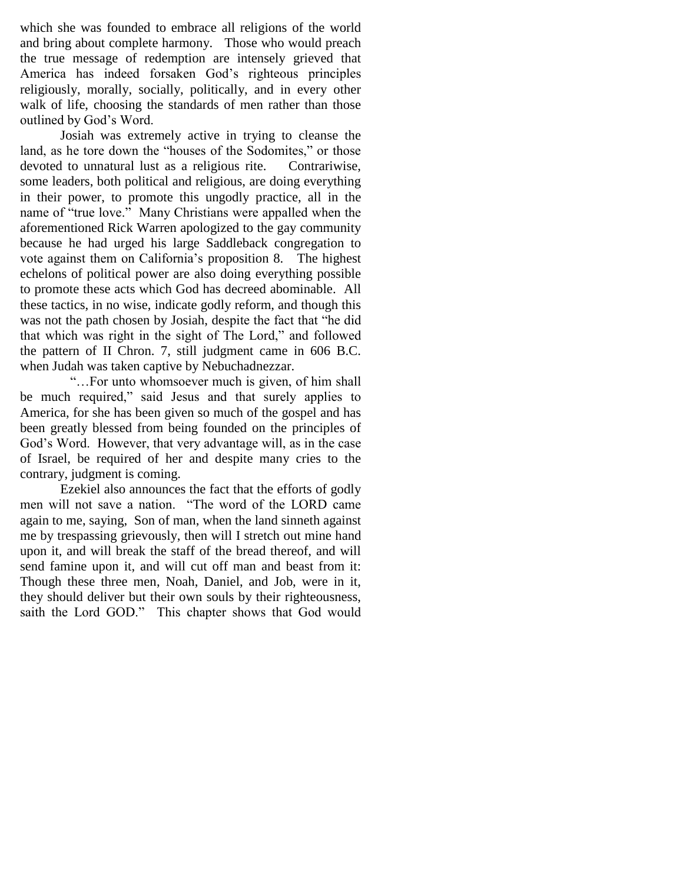which she was founded to embrace all religions of the world and bring about complete harmony. Those who would preach the true message of redemption are intensely grieved that America has indeed forsaken God's righteous principles religiously, morally, socially, politically, and in every other walk of life, choosing the standards of men rather than those outlined by God's Word.

Josiah was extremely active in trying to cleanse the land, as he tore down the "houses of the Sodomites," or those devoted to unnatural lust as a religious rite. Contrariwise, some leaders, both political and religious, are doing everything in their power, to promote this ungodly practice, all in the name of "true love." Many Christians were appalled when the aforementioned Rick Warren apologized to the gay community because he had urged his large Saddleback congregation to vote against them on California's proposition 8. The highest echelons of political power are also doing everything possible to promote these acts which God has decreed abominable. All these tactics, in no wise, indicate godly reform, and though this was not the path chosen by Josiah, despite the fact that "he did that which was right in the sight of The Lord," and followed the pattern of II Chron. 7, still judgment came in 606 B.C. when Judah was taken captive by Nebuchadnezzar.

 "…For unto whomsoever much is given, of him shall be much required," said Jesus and that surely applies to America, for she has been given so much of the gospel and has been greatly blessed from being founded on the principles of God's Word. However, that very advantage will, as in the case of Israel, be required of her and despite many cries to the contrary, judgment is coming.

Ezekiel also announces the fact that the efforts of godly men will not save a nation. "The word of the LORD came again to me, saying, Son of man, when the land sinneth against me by trespassing grievously, then will I stretch out mine hand upon it, and will break the staff of the bread thereof, and will send famine upon it, and will cut off man and beast from it: Though these three men, Noah, Daniel, and Job, were in it, they should deliver but their own souls by their righteousness, saith the Lord GOD." This chapter shows that God would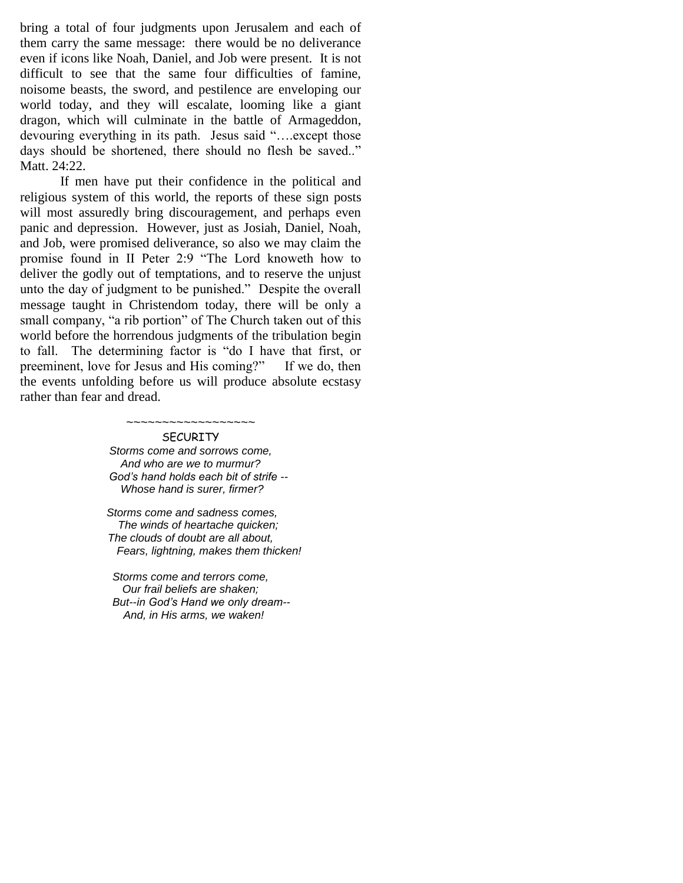bring a total of four judgments upon Jerusalem and each of them carry the same message: there would be no deliverance even if icons like Noah, Daniel, and Job were present. It is not difficult to see that the same four difficulties of famine, noisome beasts, the sword, and pestilence are enveloping our world today, and they will escalate, looming like a giant dragon, which will culminate in the battle of Armageddon, devouring everything in its path. Jesus said "….except those days should be shortened, there should no flesh be saved.." Matt. 24:22.

If men have put their confidence in the political and religious system of this world, the reports of these sign posts will most assuredly bring discouragement, and perhaps even panic and depression. However, just as Josiah, Daniel, Noah, and Job, were promised deliverance, so also we may claim the promise found in II Peter 2:9 "The Lord knoweth how to deliver the godly out of temptations, and to reserve the unjust unto the day of judgment to be punished." Despite the overall message taught in Christendom today, there will be only a small company, "a rib portion" of The Church taken out of this world before the horrendous judgments of the tribulation begin to fall. The determining factor is "do I have that first, or preeminent, love for Jesus and His coming?" If we do, then the events unfolding before us will produce absolute ecstasy rather than fear and dread.

#### ~~~~~~~~~~~~~~~~~~ **SECURITY**

*Storms come and sorrows come, And who are we to murmur? God's hand holds each bit of strife -- Whose hand is surer, firmer?*

*Storms come and sadness comes, The winds of heartache quicken; The clouds of doubt are all about, Fears, lightning, makes them thicken!* 

*Storms come and terrors come, Our frail beliefs are shaken; But--in God's Hand we only dream-- And, in His arms, we waken!*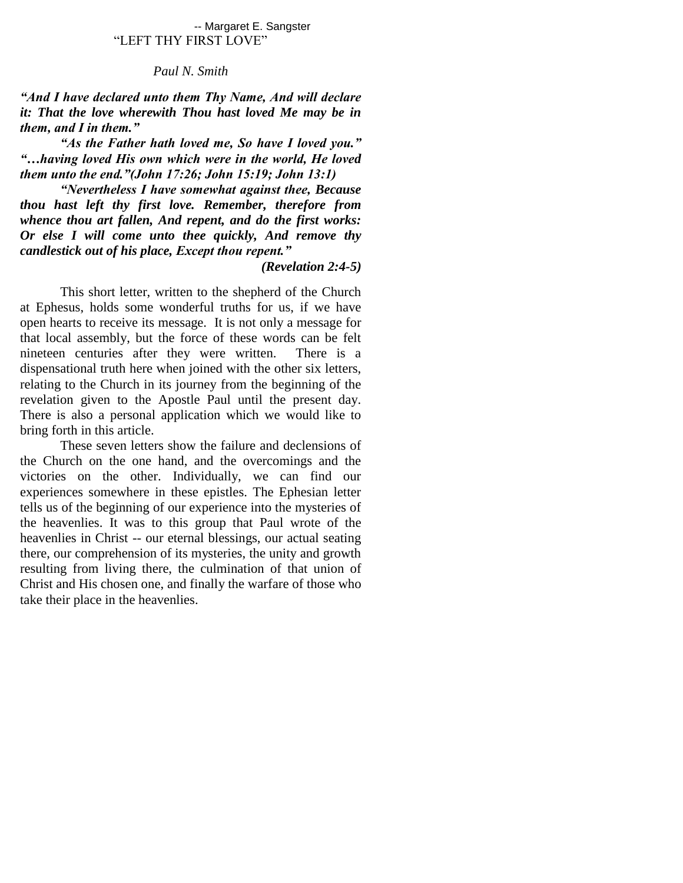# -- Margaret E. Sangster "LEFT THY FIRST LOVE"

#### *Paul N. Smith*

*"And I have declared unto them Thy Name, And will declare it: That the love wherewith Thou hast loved Me may be in them, and I in them."*

*"As the Father hath loved me, So have I loved you." "…having loved His own which were in the world, He loved them unto the end."(John 17:26; John 15:19; John 13:1)*

*"Nevertheless I have somewhat against thee, Because thou hast left thy first love. Remember, therefore from whence thou art fallen, And repent, and do the first works: Or else I will come unto thee quickly, And remove thy candlestick out of his place, Except thou repent."*

# *(Revelation 2:4-5)*

This short letter, written to the shepherd of the Church at Ephesus, holds some wonderful truths for us, if we have open hearts to receive its message. It is not only a message for that local assembly, but the force of these words can be felt nineteen centuries after they were written. There is a dispensational truth here when joined with the other six letters, relating to the Church in its journey from the beginning of the revelation given to the Apostle Paul until the present day. There is also a personal application which we would like to bring forth in this article.

These seven letters show the failure and declensions of the Church on the one hand, and the overcomings and the victories on the other. Individually, we can find our experiences somewhere in these epistles. The Ephesian letter tells us of the beginning of our experience into the mysteries of the heavenlies. It was to this group that Paul wrote of the heavenlies in Christ -- our eternal blessings, our actual seating there, our comprehension of its mysteries, the unity and growth resulting from living there, the culmination of that union of Christ and His chosen one, and finally the warfare of those who take their place in the heavenlies.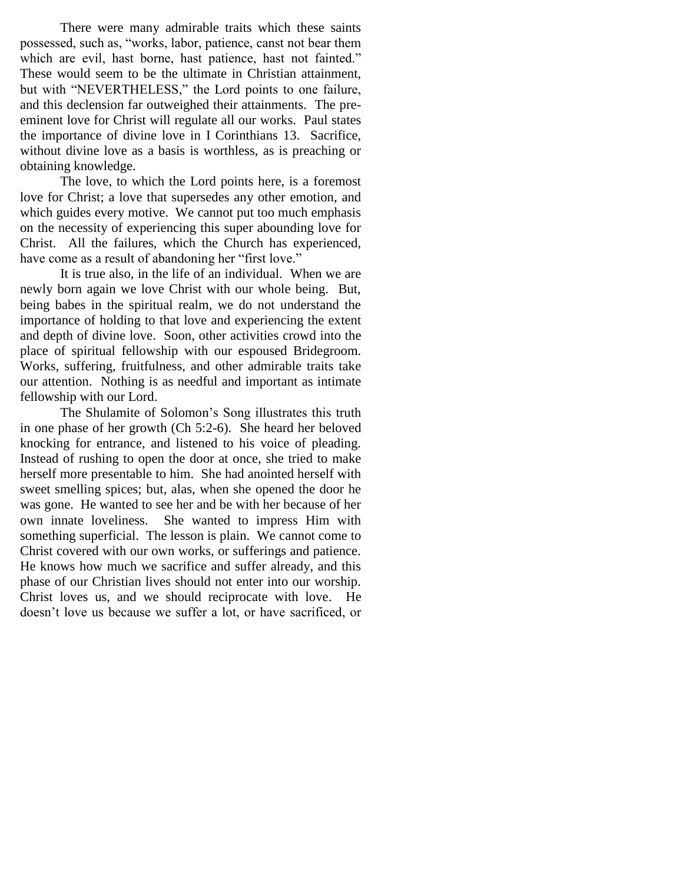There were many admirable traits which these saints possessed, such as, "works, labor, patience, canst not bear them which are evil, hast borne, hast patience, hast not fainted." These would seem to be the ultimate in Christian attainment, but with "NEVERTHELESS," the Lord points to one failure, and this declension far outweighed their attainments. The preeminent love for Christ will regulate all our works. Paul states the importance of divine love in I Corinthians 13. Sacrifice, without divine love as a basis is worthless, as is preaching or obtaining knowledge.

The love, to which the Lord points here, is a foremost love for Christ; a love that supersedes any other emotion, and which guides every motive. We cannot put too much emphasis on the necessity of experiencing this super abounding love for Christ. All the failures, which the Church has experienced, have come as a result of abandoning her "first love."

It is true also, in the life of an individual. When we are newly born again we love Christ with our whole being. But, being babes in the spiritual realm, we do not understand the importance of holding to that love and experiencing the extent and depth of divine love. Soon, other activities crowd into the place of spiritual fellowship with our espoused Bridegroom. Works, suffering, fruitfulness, and other admirable traits take our attention. Nothing is as needful and important as intimate fellowship with our Lord.

The Shulamite of Solomon's Song illustrates this truth in one phase of her growth (Ch 5:2-6). She heard her beloved knocking for entrance, and listened to his voice of pleading. Instead of rushing to open the door at once, she tried to make herself more presentable to him. She had anointed herself with sweet smelling spices; but, alas, when she opened the door he was gone. He wanted to see her and be with her because of her own innate loveliness. She wanted to impress Him with something superficial. The lesson is plain. We cannot come to Christ covered with our own works, or sufferings and patience. He knows how much we sacrifice and suffer already, and this phase of our Christian lives should not enter into our worship. Christ loves us, and we should reciprocate with love. He doesn't love us because we suffer a lot, or have sacrificed, or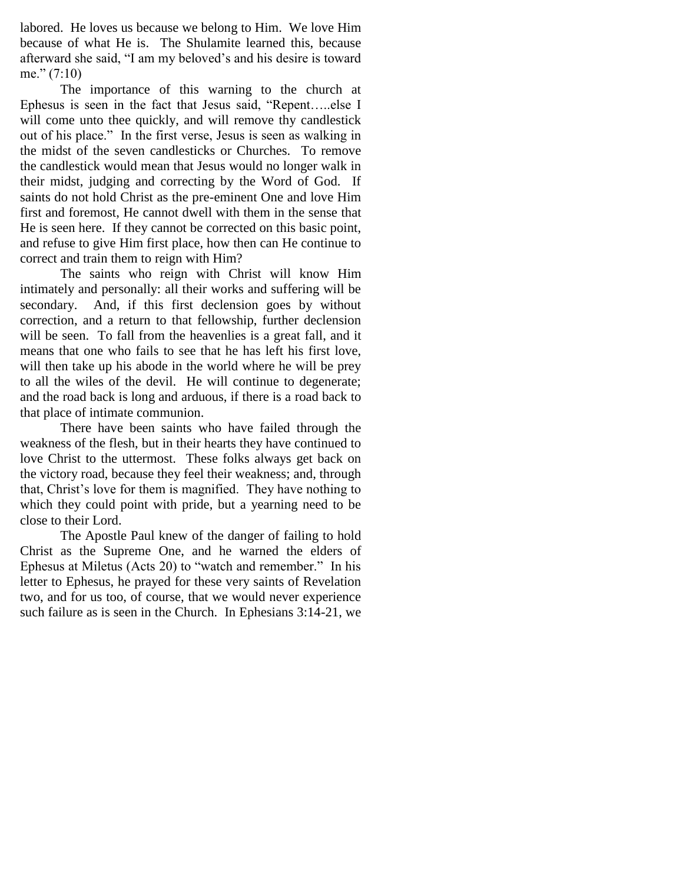labored. He loves us because we belong to Him. We love Him because of what He is. The Shulamite learned this, because afterward she said, "I am my beloved's and his desire is toward me." (7:10)

The importance of this warning to the church at Ephesus is seen in the fact that Jesus said, "Repent…..else I will come unto thee quickly, and will remove thy candlestick out of his place." In the first verse, Jesus is seen as walking in the midst of the seven candlesticks or Churches. To remove the candlestick would mean that Jesus would no longer walk in their midst, judging and correcting by the Word of God. If saints do not hold Christ as the pre-eminent One and love Him first and foremost, He cannot dwell with them in the sense that He is seen here. If they cannot be corrected on this basic point, and refuse to give Him first place, how then can He continue to correct and train them to reign with Him?

The saints who reign with Christ will know Him intimately and personally: all their works and suffering will be secondary. And, if this first declension goes by without correction, and a return to that fellowship, further declension will be seen. To fall from the heavenlies is a great fall, and it means that one who fails to see that he has left his first love, will then take up his abode in the world where he will be prey to all the wiles of the devil. He will continue to degenerate; and the road back is long and arduous, if there is a road back to that place of intimate communion.

There have been saints who have failed through the weakness of the flesh, but in their hearts they have continued to love Christ to the uttermost. These folks always get back on the victory road, because they feel their weakness; and, through that, Christ's love for them is magnified. They have nothing to which they could point with pride, but a yearning need to be close to their Lord.

The Apostle Paul knew of the danger of failing to hold Christ as the Supreme One, and he warned the elders of Ephesus at Miletus (Acts 20) to "watch and remember." In his letter to Ephesus, he prayed for these very saints of Revelation two, and for us too, of course, that we would never experience such failure as is seen in the Church. In Ephesians 3:14-21, we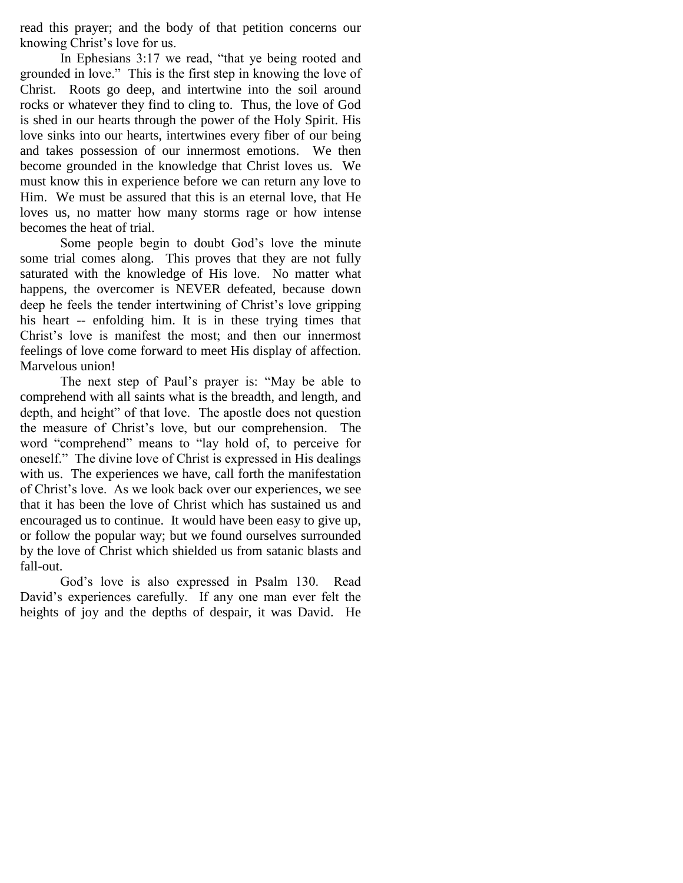read this prayer; and the body of that petition concerns our knowing Christ's love for us.

In Ephesians 3:17 we read, "that ye being rooted and grounded in love." This is the first step in knowing the love of Christ. Roots go deep, and intertwine into the soil around rocks or whatever they find to cling to. Thus, the love of God is shed in our hearts through the power of the Holy Spirit. His love sinks into our hearts, intertwines every fiber of our being and takes possession of our innermost emotions. We then become grounded in the knowledge that Christ loves us. We must know this in experience before we can return any love to Him. We must be assured that this is an eternal love, that He loves us, no matter how many storms rage or how intense becomes the heat of trial.

Some people begin to doubt God's love the minute some trial comes along. This proves that they are not fully saturated with the knowledge of His love. No matter what happens, the overcomer is NEVER defeated, because down deep he feels the tender intertwining of Christ's love gripping his heart -- enfolding him. It is in these trying times that Christ's love is manifest the most; and then our innermost feelings of love come forward to meet His display of affection. Marvelous union!

The next step of Paul's prayer is: "May be able to comprehend with all saints what is the breadth, and length, and depth, and height" of that love. The apostle does not question the measure of Christ's love, but our comprehension. The word "comprehend" means to "lay hold of, to perceive for oneself." The divine love of Christ is expressed in His dealings with us. The experiences we have, call forth the manifestation of Christ's love. As we look back over our experiences, we see that it has been the love of Christ which has sustained us and encouraged us to continue. It would have been easy to give up, or follow the popular way; but we found ourselves surrounded by the love of Christ which shielded us from satanic blasts and fall-out.

God's love is also expressed in Psalm 130. Read David's experiences carefully. If any one man ever felt the heights of joy and the depths of despair, it was David. He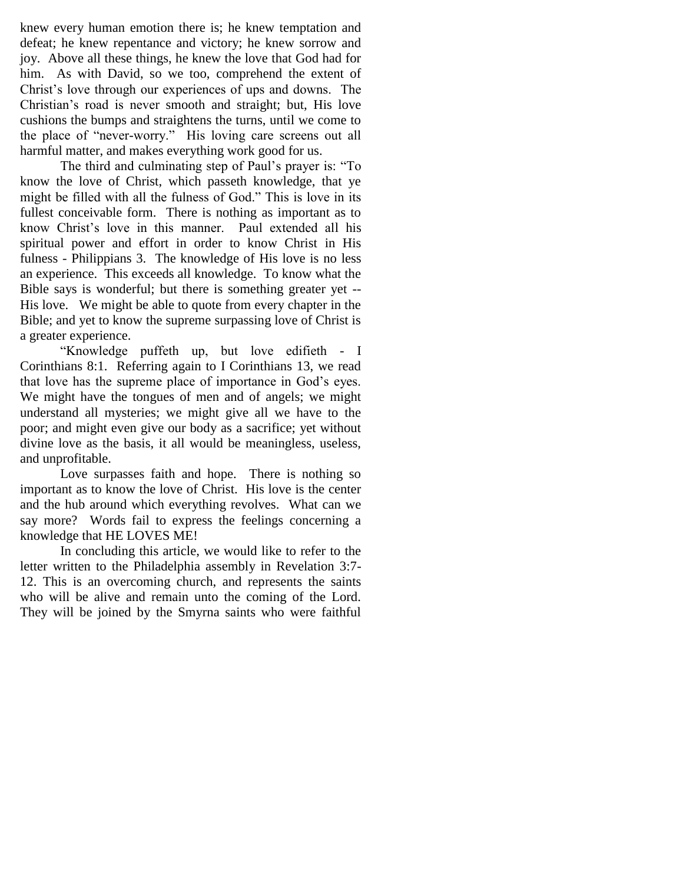knew every human emotion there is; he knew temptation and defeat; he knew repentance and victory; he knew sorrow and joy. Above all these things, he knew the love that God had for him. As with David, so we too, comprehend the extent of Christ's love through our experiences of ups and downs. The Christian's road is never smooth and straight; but, His love cushions the bumps and straightens the turns, until we come to the place of "never-worry." His loving care screens out all harmful matter, and makes everything work good for us.

The third and culminating step of Paul's prayer is: "To know the love of Christ, which passeth knowledge, that ye might be filled with all the fulness of God." This is love in its fullest conceivable form. There is nothing as important as to know Christ's love in this manner. Paul extended all his spiritual power and effort in order to know Christ in His fulness - Philippians 3. The knowledge of His love is no less an experience. This exceeds all knowledge. To know what the Bible says is wonderful; but there is something greater yet -- His love. We might be able to quote from every chapter in the Bible; and yet to know the supreme surpassing love of Christ is a greater experience.

"Knowledge puffeth up, but love edifieth - I Corinthians 8:1. Referring again to I Corinthians 13, we read that love has the supreme place of importance in God's eyes. We might have the tongues of men and of angels; we might understand all mysteries; we might give all we have to the poor; and might even give our body as a sacrifice; yet without divine love as the basis, it all would be meaningless, useless, and unprofitable.

Love surpasses faith and hope. There is nothing so important as to know the love of Christ. His love is the center and the hub around which everything revolves. What can we say more? Words fail to express the feelings concerning a knowledge that HE LOVES ME!

In concluding this article, we would like to refer to the letter written to the Philadelphia assembly in Revelation 3:7- 12. This is an overcoming church, and represents the saints who will be alive and remain unto the coming of the Lord. They will be joined by the Smyrna saints who were faithful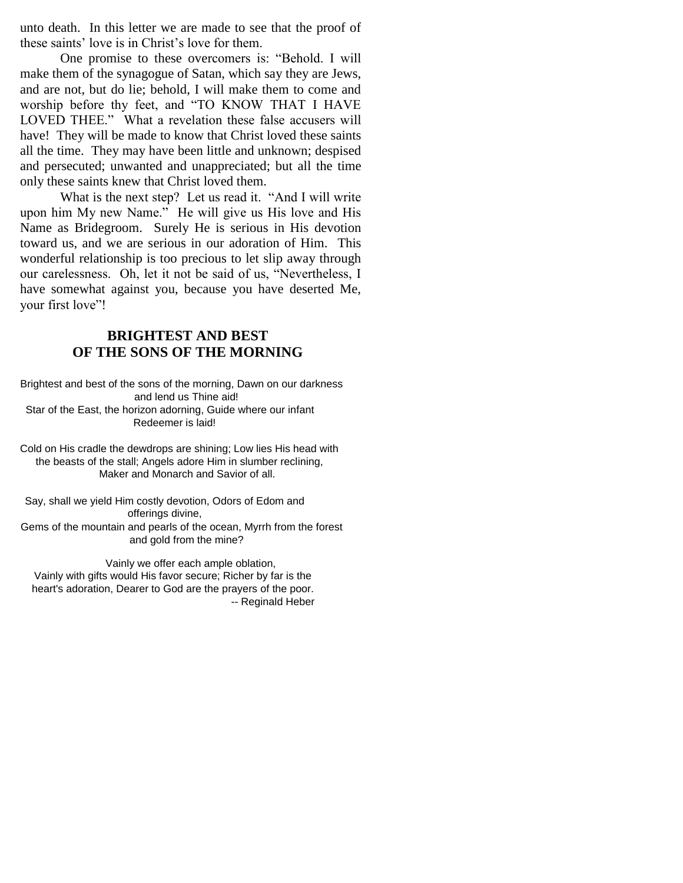unto death. In this letter we are made to see that the proof of these saints' love is in Christ's love for them.

One promise to these overcomers is: "Behold. I will make them of the synagogue of Satan, which say they are Jews, and are not, but do lie; behold, I will make them to come and worship before thy feet, and "TO KNOW THAT I HAVE LOVED THEE." What a revelation these false accusers will have! They will be made to know that Christ loved these saints all the time. They may have been little and unknown; despised and persecuted; unwanted and unappreciated; but all the time only these saints knew that Christ loved them.

What is the next step? Let us read it. "And I will write upon him My new Name." He will give us His love and His Name as Bridegroom. Surely He is serious in His devotion toward us, and we are serious in our adoration of Him. This wonderful relationship is too precious to let slip away through our carelessness. Oh, let it not be said of us, "Nevertheless, I have somewhat against you, because you have deserted Me, your first love"!

# **BRIGHTEST AND BEST OF THE SONS OF THE MORNING**

Brightest and best of the sons of the morning, Dawn on our darkness and lend us Thine aid! Star of the East, the horizon adorning, Guide where our infant Redeemer is laid!

Cold on His cradle the dewdrops are shining; Low lies His head with the beasts of the stall; Angels adore Him in slumber reclining, Maker and Monarch and Savior of all.

Say, shall we yield Him costly devotion, Odors of Edom and offerings divine, Gems of the mountain and pearls of the ocean, Myrrh from the forest and gold from the mine?

Vainly we offer each ample oblation, Vainly with gifts would His favor secure; Richer by far is the heart's adoration, Dearer to God are the prayers of the poor. -- Reginald Heber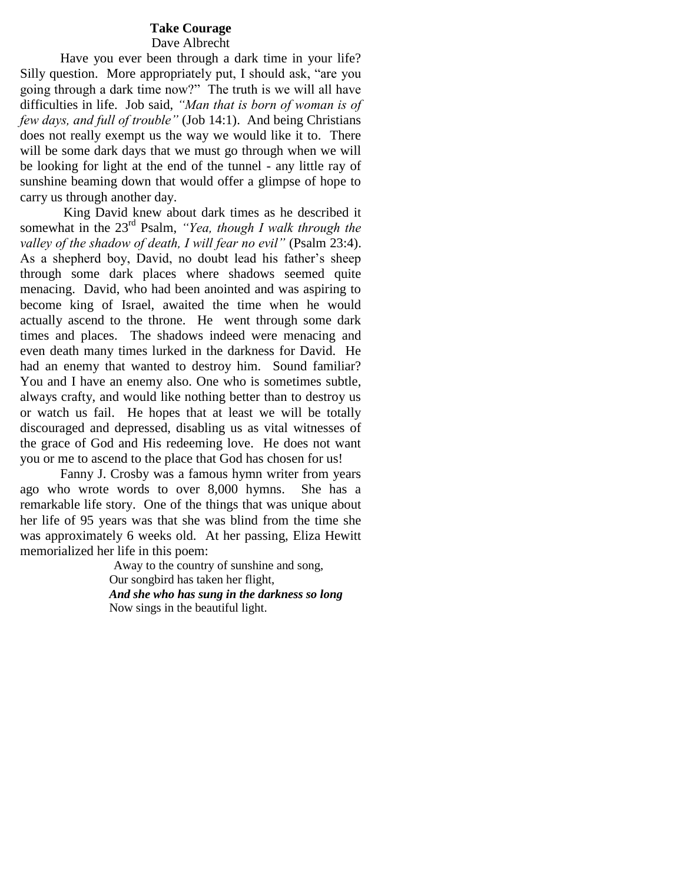# **Take Courage**

# Dave Albrecht

 Have you ever been through a dark time in your life? Silly question. More appropriately put, I should ask, "are you going through a dark time now?" The truth is we will all have difficulties in life. Job said, *"Man that is born of woman is of few days, and full of trouble"* (Job 14:1). And being Christians does not really exempt us the way we would like it to. There will be some dark days that we must go through when we will be looking for light at the end of the tunnel - any little ray of sunshine beaming down that would offer a glimpse of hope to carry us through another day.

 King David knew about dark times as he described it somewhat in the 23rd Psalm, *"Yea, though I walk through the valley of the shadow of death, I will fear no evil"* (Psalm 23:4). As a shepherd boy, David, no doubt lead his father's sheep through some dark places where shadows seemed quite menacing. David, who had been anointed and was aspiring to become king of Israel, awaited the time when he would actually ascend to the throne. He went through some dark times and places. The shadows indeed were menacing and even death many times lurked in the darkness for David. He had an enemy that wanted to destroy him. Sound familiar? You and I have an enemy also. One who is sometimes subtle, always crafty, and would like nothing better than to destroy us or watch us fail. He hopes that at least we will be totally discouraged and depressed, disabling us as vital witnesses of the grace of God and His redeeming love. He does not want you or me to ascend to the place that God has chosen for us!

 Fanny J. Crosby was a famous hymn writer from years ago who wrote words to over 8,000 hymns. She has a remarkable life story. One of the things that was unique about her life of 95 years was that she was blind from the time she was approximately 6 weeks old. At her passing, Eliza Hewitt memorialized her life in this poem:

 Away to the country of sunshine and song, Our songbird has taken her flight,  *And she who has sung in the darkness so long* Now sings in the beautiful light.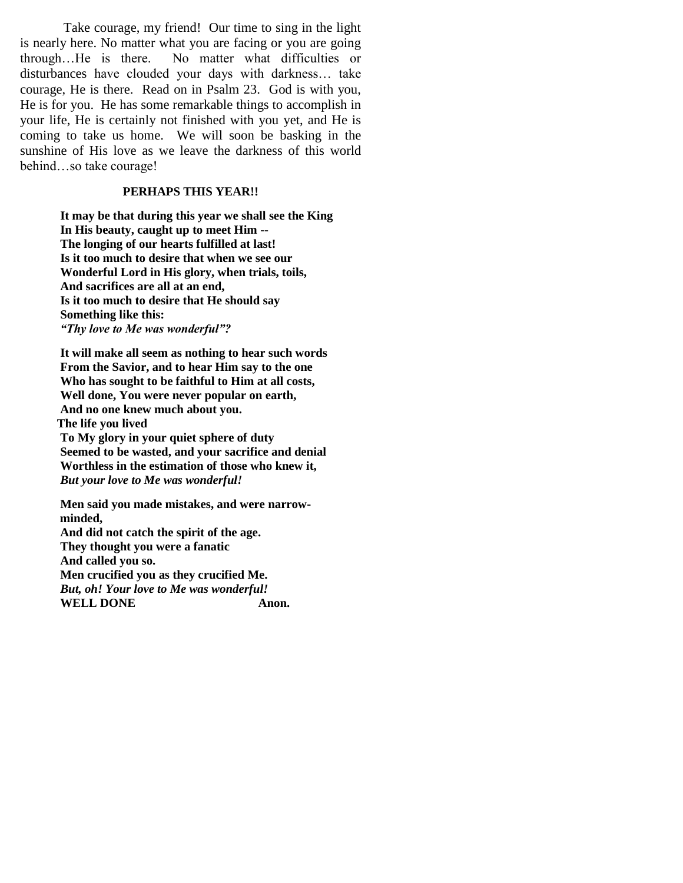Take courage, my friend! Our time to sing in the light is nearly here. No matter what you are facing or you are going through…He is there. No matter what difficulties or disturbances have clouded your days with darkness… take courage, He is there. Read on in Psalm 23. God is with you, He is for you. He has some remarkable things to accomplish in your life, He is certainly not finished with you yet, and He is coming to take us home. We will soon be basking in the sunshine of His love as we leave the darkness of this world behind…so take courage!

#### **PERHAPS THIS YEAR!!**

**It may be that during this year we shall see the King In His beauty, caught up to meet Him -- The longing of our hearts fulfilled at last! Is it too much to desire that when we see our Wonderful Lord in His glory, when trials, toils, And sacrifices are all at an end, Is it too much to desire that He should say Something like this:** *"Thy love to Me was wonderful"?*

**It will make all seem as nothing to hear such words From the Savior, and to hear Him say to the one Who has sought to be faithful to Him at all costs, Well done, You were never popular on earth, And no one knew much about you. The life you lived To My glory in your quiet sphere of duty Seemed to be wasted, and your sacrifice and denial Worthless in the estimation of those who knew it,** *But your love to Me was wonderful!*

**Men said you made mistakes, and were narrow minded, And did not catch the spirit of the age. They thought you were a fanatic And called you so. Men crucified you as they crucified Me.** *But, oh! Your love to Me was wonderful!* WELL DONE Anon.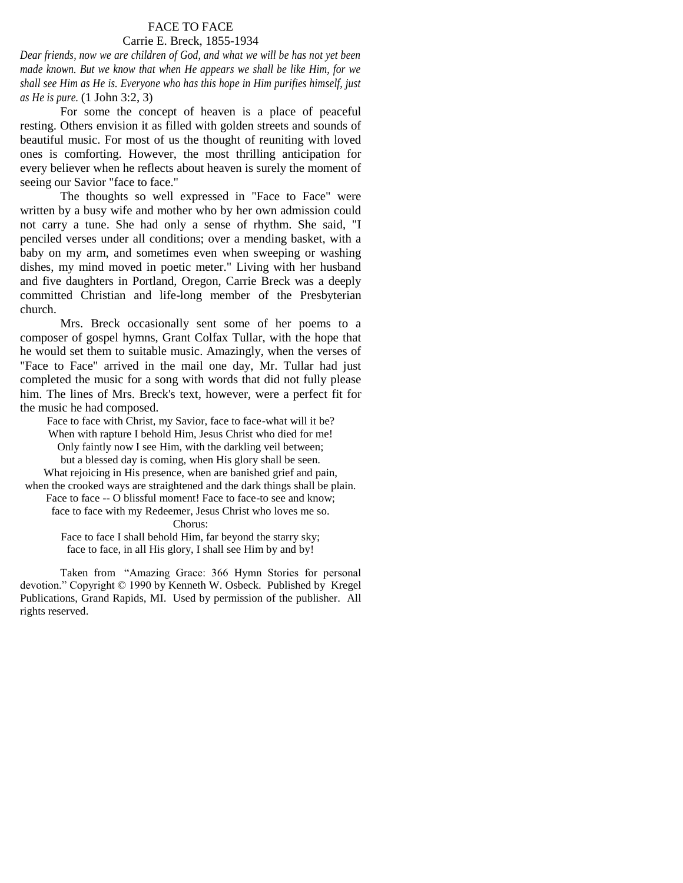#### FACE TO FACE

#### Carrie E. Breck, 1855-1934

*Dear friends, now we are children of God, and what we will be has not yet been made known. But we know that when He appears we shall be like Him, for we shall see Him as He is. Everyone who has this hope in Him purifies himself, just as He is pure.* (1 John 3:2, 3)

For some the concept of heaven is a place of peaceful resting. Others envision it as filled with golden streets and sounds of beautiful music. For most of us the thought of reuniting with loved ones is comforting. However, the most thrilling anticipation for every believer when he reflects about heaven is surely the moment of seeing our Savior "face to face."

The thoughts so well expressed in "Face to Face" were written by a busy wife and mother who by her own admission could not carry a tune. She had only a sense of rhythm. She said, "I penciled verses under all conditions; over a mending basket, with a baby on my arm, and sometimes even when sweeping or washing dishes, my mind moved in poetic meter." Living with her husband and five daughters in Portland, Oregon, Carrie Breck was a deeply committed Christian and life-long member of the Presbyterian church.

Mrs. Breck occasionally sent some of her poems to a composer of gospel hymns, Grant Colfax Tullar, with the hope that he would set them to suitable music. Amazingly, when the verses of "Face to Face" arrived in the mail one day, Mr. Tullar had just completed the music for a song with words that did not fully please him. The lines of Mrs. Breck's text, however, were a perfect fit for the music he had composed.

Face to face with Christ, my Savior, face to face-what will it be? When with rapture I behold Him, Jesus Christ who died for me!

Only faintly now I see Him, with the darkling veil between; but a blessed day is coming, when His glory shall be seen.

What rejoicing in His presence, when are banished grief and pain, when the crooked ways are straightened and the dark things shall be plain.

Face to face -- O blissful moment! Face to face-to see and know; face to face with my Redeemer, Jesus Christ who loves me so.

Chorus:

Face to face I shall behold Him, far beyond the starry sky; face to face, in all His glory, I shall see Him by and by!

Taken from "Amazing Grace: 366 Hymn Stories for personal devotion." Copyright © 1990 by Kenneth W. Osbeck. Published by Kregel Publications, Grand Rapids, MI. Used by permission of the publisher. All rights reserved.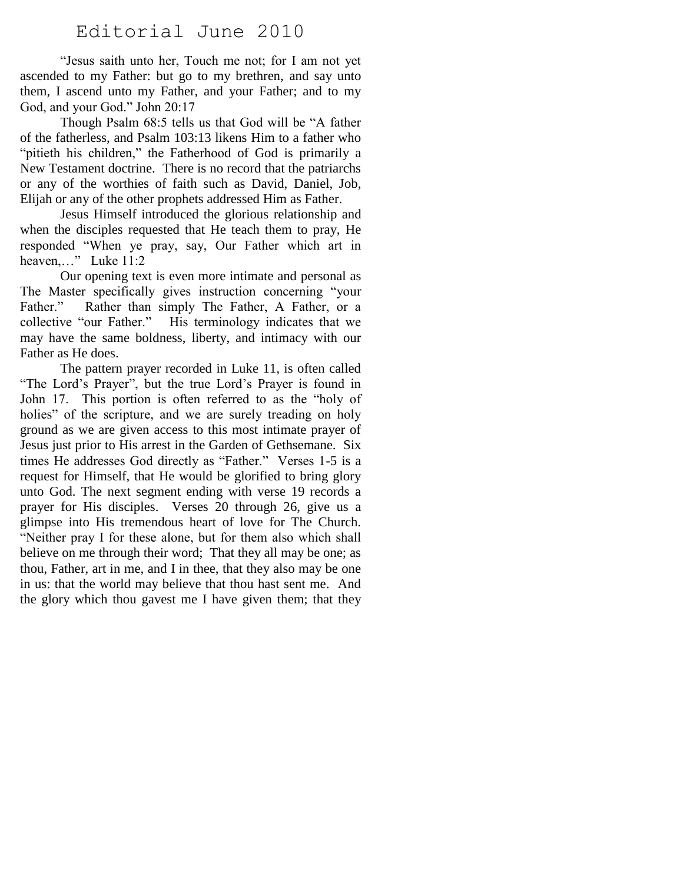# Editorial June 2010

"Jesus saith unto her, Touch me not; for I am not yet ascended to my Father: but go to my brethren, and say unto them, I ascend unto my Father, and your Father; and to my God, and your God." John 20:17

Though Psalm 68:5 tells us that God will be "A father of the fatherless, and Psalm 103:13 likens Him to a father who "pitieth his children," the Fatherhood of God is primarily a New Testament doctrine. There is no record that the patriarchs or any of the worthies of faith such as David, Daniel, Job, Elijah or any of the other prophets addressed Him as Father.

Jesus Himself introduced the glorious relationship and when the disciples requested that He teach them to pray, He responded "When ye pray, say, Our Father which art in heaven,…" Luke 11:2

Our opening text is even more intimate and personal as The Master specifically gives instruction concerning "your Father." Rather than simply The Father, A Father, or a collective "our Father." His terminology indicates that we may have the same boldness, liberty, and intimacy with our Father as He does.

The pattern prayer recorded in Luke 11, is often called "The Lord's Prayer", but the true Lord's Prayer is found in John 17. This portion is often referred to as the "holy of holies" of the scripture, and we are surely treading on holy ground as we are given access to this most intimate prayer of Jesus just prior to His arrest in the Garden of Gethsemane. Six times He addresses God directly as "Father." Verses 1-5 is a request for Himself, that He would be glorified to bring glory unto God. The next segment ending with verse 19 records a prayer for His disciples. Verses 20 through 26, give us a glimpse into His tremendous heart of love for The Church. "Neither pray I for these alone, but for them also which shall believe on me through their word; That they all may be one; as thou, Father, art in me, and I in thee, that they also may be one in us: that the world may believe that thou hast sent me. And the glory which thou gavest me I have given them; that they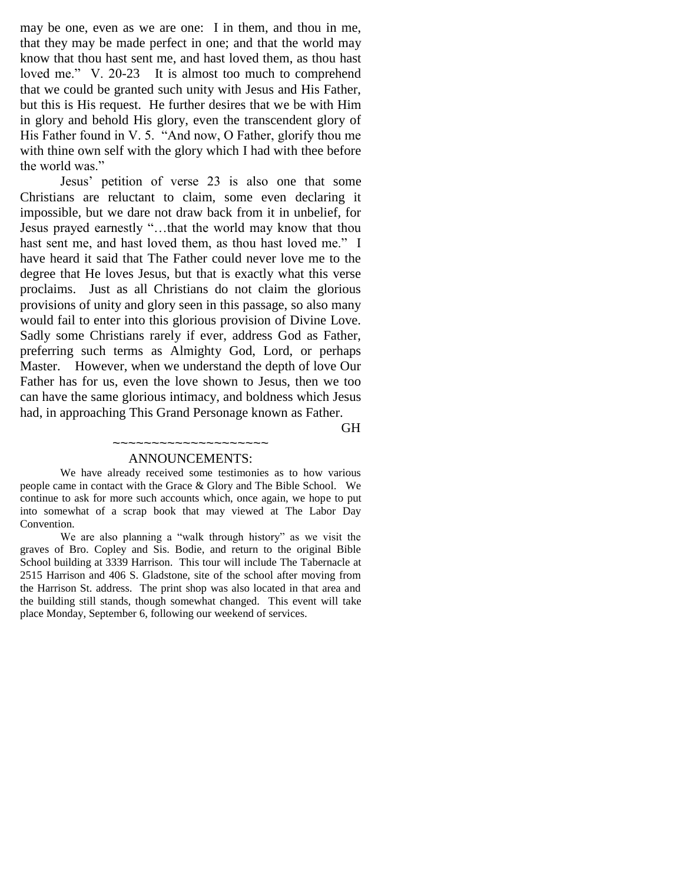may be one, even as we are one: I in them, and thou in me, that they may be made perfect in one; and that the world may know that thou hast sent me, and hast loved them, as thou hast loved me." V. 20-23 It is almost too much to comprehend that we could be granted such unity with Jesus and His Father, but this is His request. He further desires that we be with Him in glory and behold His glory, even the transcendent glory of His Father found in V. 5. "And now, O Father, glorify thou me with thine own self with the glory which I had with thee before the world was."

Jesus' petition of verse 23 is also one that some Christians are reluctant to claim, some even declaring it impossible, but we dare not draw back from it in unbelief, for Jesus prayed earnestly "…that the world may know that thou hast sent me, and hast loved them, as thou hast loved me." I have heard it said that The Father could never love me to the degree that He loves Jesus, but that is exactly what this verse proclaims. Just as all Christians do not claim the glorious provisions of unity and glory seen in this passage, so also many would fail to enter into this glorious provision of Divine Love. Sadly some Christians rarely if ever, address God as Father, preferring such terms as Almighty God, Lord, or perhaps Master. However, when we understand the depth of love Our Father has for us, even the love shown to Jesus, then we too can have the same glorious intimacy, and boldness which Jesus had, in approaching This Grand Personage known as Father.

**GH** 

#### ANNOUNCEMENTS:

~~~~~~~~~~~~~~~~~~~~

We have already received some testimonies as to how various people came in contact with the Grace & Glory and The Bible School. We continue to ask for more such accounts which, once again, we hope to put into somewhat of a scrap book that may viewed at The Labor Day Convention.

We are also planning a "walk through history" as we visit the graves of Bro. Copley and Sis. Bodie, and return to the original Bible School building at 3339 Harrison. This tour will include The Tabernacle at 2515 Harrison and 406 S. Gladstone, site of the school after moving from the Harrison St. address. The print shop was also located in that area and the building still stands, though somewhat changed. This event will take place Monday, September 6, following our weekend of services.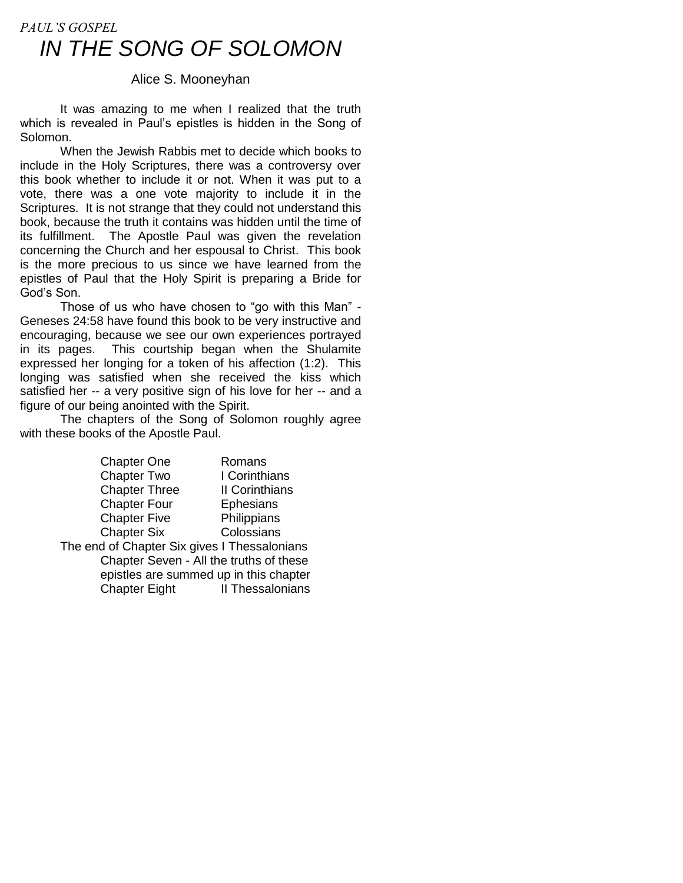# *PAUL'S GOSPEL IN THE SONG OF SOLOMON*

# Alice S. Mooneyhan

It was amazing to me when I realized that the truth which is revealed in Paul's epistles is hidden in the Song of Solomon.

When the Jewish Rabbis met to decide which books to include in the Holy Scriptures, there was a controversy over this book whether to include it or not. When it was put to a vote, there was a one vote majority to include it in the Scriptures. It is not strange that they could not understand this book, because the truth it contains was hidden until the time of its fulfillment. The Apostle Paul was given the revelation concerning the Church and her espousal to Christ. This book is the more precious to us since we have learned from the epistles of Paul that the Holy Spirit is preparing a Bride for God"s Son.

Those of us who have chosen to "go with this Man" - Geneses 24:58 have found this book to be very instructive and encouraging, because we see our own experiences portrayed in its pages. This courtship began when the Shulamite expressed her longing for a token of his affection (1:2). This longing was satisfied when she received the kiss which satisfied her -- a very positive sign of his love for her -- and a figure of our being anointed with the Spirit.

The chapters of the Song of Solomon roughly agree with these books of the Apostle Paul.

| <b>Chapter One</b>                           | Romans           |
|----------------------------------------------|------------------|
| <b>Chapter Two</b>                           | I Corinthians    |
| <b>Chapter Three</b>                         | II Corinthians   |
| <b>Chapter Four</b>                          | Ephesians        |
| <b>Chapter Five</b>                          | Philippians      |
| <b>Chapter Six</b>                           | Colossians       |
| The end of Chapter Six gives I Thessalonians |                  |
| Chapter Seven - All the truths of these      |                  |
| epistles are summed up in this chapter       |                  |
| <b>Chapter Eight</b>                         | II Thessalonians |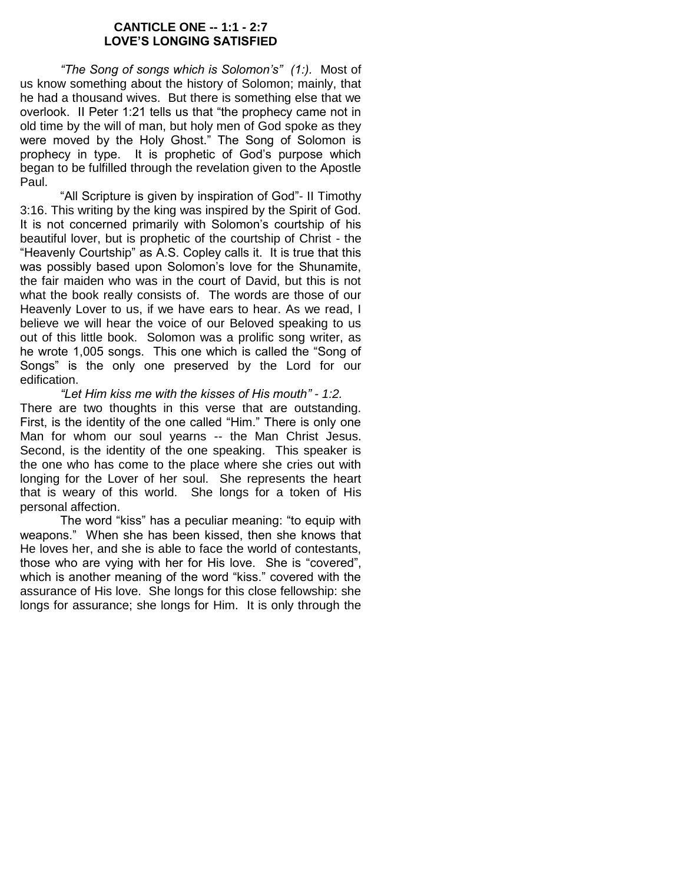#### **CANTICLE ONE -- 1:1 - 2:7 LOVE'S LONGING SATISFIED**

*"The Song of songs which is Solomon's" (1:).* Most of us know something about the history of Solomon; mainly, that he had a thousand wives. But there is something else that we overlook. II Peter 1:21 tells us that "the prophecy came not in old time by the will of man, but holy men of God spoke as they were moved by the Holy Ghost." The Song of Solomon is prophecy in type. It is prophetic of God"s purpose which began to be fulfilled through the revelation given to the Apostle Paul.

"All Scripture is given by inspiration of God"- II Timothy 3:16. This writing by the king was inspired by the Spirit of God. It is not concerned primarily with Solomon"s courtship of his beautiful lover, but is prophetic of the courtship of Christ - the "Heavenly Courtship" as A.S. Copley calls it. It is true that this was possibly based upon Solomon's love for the Shunamite, the fair maiden who was in the court of David, but this is not what the book really consists of. The words are those of our Heavenly Lover to us, if we have ears to hear. As we read, I believe we will hear the voice of our Beloved speaking to us out of this little book. Solomon was a prolific song writer, as he wrote 1,005 songs. This one which is called the "Song of Songs" is the only one preserved by the Lord for our edification.

*"Let Him kiss me with the kisses of His mouth" - 1:2.*  There are two thoughts in this verse that are outstanding. First, is the identity of the one called "Him." There is only one Man for whom our soul yearns -- the Man Christ Jesus. Second, is the identity of the one speaking. This speaker is the one who has come to the place where she cries out with longing for the Lover of her soul. She represents the heart that is weary of this world. She longs for a token of His personal affection.

The word "kiss" has a peculiar meaning: "to equip with weapons." When she has been kissed, then she knows that He loves her, and she is able to face the world of contestants, those who are vying with her for His love. She is "covered", which is another meaning of the word "kiss." covered with the assurance of His love. She longs for this close fellowship: she longs for assurance; she longs for Him. It is only through the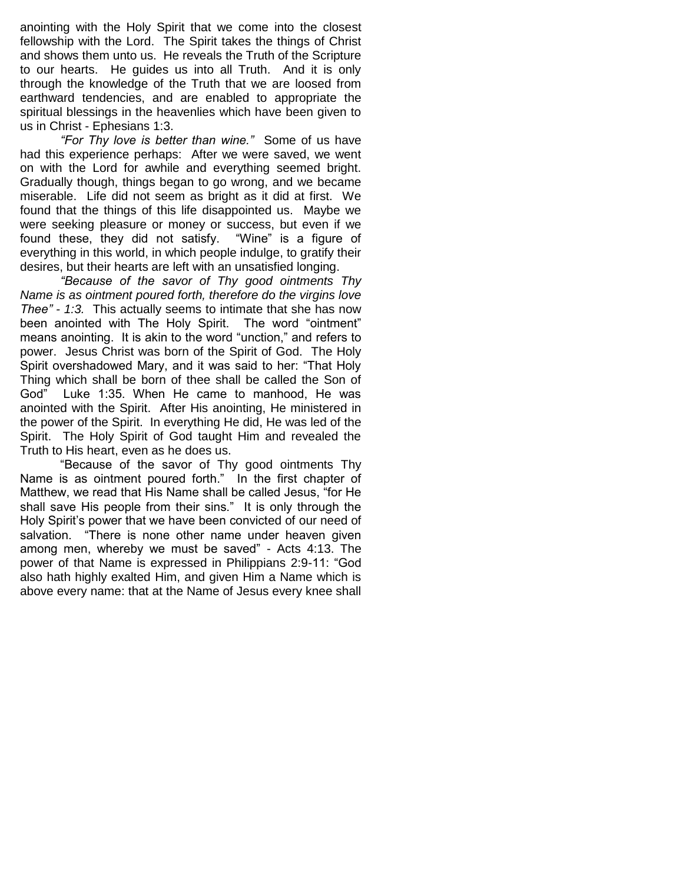anointing with the Holy Spirit that we come into the closest fellowship with the Lord. The Spirit takes the things of Christ and shows them unto us. He reveals the Truth of the Scripture to our hearts. He guides us into all Truth. And it is only through the knowledge of the Truth that we are loosed from earthward tendencies, and are enabled to appropriate the spiritual blessings in the heavenlies which have been given to us in Christ - Ephesians 1:3.

*"For Thy love is better than wine."* Some of us have had this experience perhaps: After we were saved, we went on with the Lord for awhile and everything seemed bright. Gradually though, things began to go wrong, and we became miserable. Life did not seem as bright as it did at first. We found that the things of this life disappointed us. Maybe we were seeking pleasure or money or success, but even if we found these, they did not satisfy. "Wine" is a figure of everything in this world, in which people indulge, to gratify their desires, but their hearts are left with an unsatisfied longing.

*"Because of the savor of Thy good ointments Thy Name is as ointment poured forth, therefore do the virgins love Thee" - 1:3.* This actually seems to intimate that she has now been anointed with The Holy Spirit. The word "ointment" means anointing. It is akin to the word "unction," and refers to power. Jesus Christ was born of the Spirit of God. The Holy Spirit overshadowed Mary, and it was said to her: "That Holy Thing which shall be born of thee shall be called the Son of God" Luke 1:35. When He came to manhood, He was anointed with the Spirit. After His anointing, He ministered in the power of the Spirit. In everything He did, He was led of the Spirit. The Holy Spirit of God taught Him and revealed the Truth to His heart, even as he does us.

"Because of the savor of Thy good ointments Thy Name is as ointment poured forth." In the first chapter of Matthew, we read that His Name shall be called Jesus, "for He shall save His people from their sins." It is only through the Holy Spirit's power that we have been convicted of our need of salvation. "There is none other name under heaven given among men, whereby we must be saved" - Acts 4:13. The power of that Name is expressed in Philippians 2:9-11: "God also hath highly exalted Him, and given Him a Name which is above every name: that at the Name of Jesus every knee shall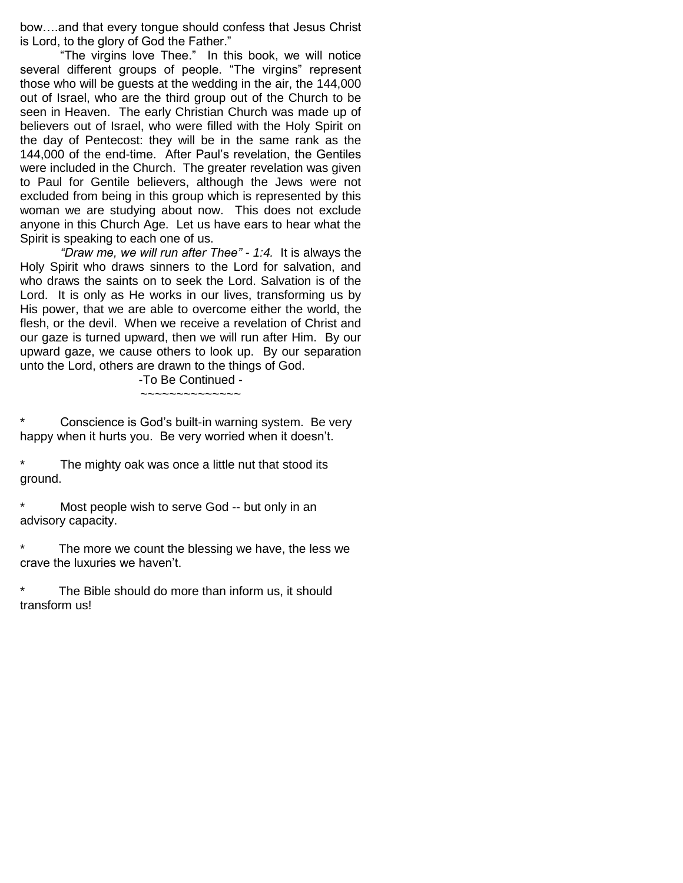bow….and that every tongue should confess that Jesus Christ is Lord, to the glory of God the Father."

"The virgins love Thee." In this book, we will notice several different groups of people. "The virgins" represent those who will be guests at the wedding in the air, the 144,000 out of Israel, who are the third group out of the Church to be seen in Heaven. The early Christian Church was made up of believers out of Israel, who were filled with the Holy Spirit on the day of Pentecost: they will be in the same rank as the 144,000 of the end-time. After Paul"s revelation, the Gentiles were included in the Church. The greater revelation was given to Paul for Gentile believers, although the Jews were not excluded from being in this group which is represented by this woman we are studying about now. This does not exclude anyone in this Church Age. Let us have ears to hear what the Spirit is speaking to each one of us.

*"Draw me, we will run after Thee" - 1:4.* It is always the Holy Spirit who draws sinners to the Lord for salvation, and who draws the saints on to seek the Lord. Salvation is of the Lord. It is only as He works in our lives, transforming us by His power, that we are able to overcome either the world, the flesh, or the devil. When we receive a revelation of Christ and our gaze is turned upward, then we will run after Him. By our upward gaze, we cause others to look up. By our separation unto the Lord, others are drawn to the things of God.

#### -To Be Continued - ~~~~~~~~~~~~~~

Conscience is God's built-in warning system. Be very happy when it hurts you. Be very worried when it doesn't.

The mighty oak was once a little nut that stood its ground.

\* Most people wish to serve God -- but only in an advisory capacity.

The more we count the blessing we have, the less we crave the luxuries we haven"t.

The Bible should do more than inform us, it should transform us!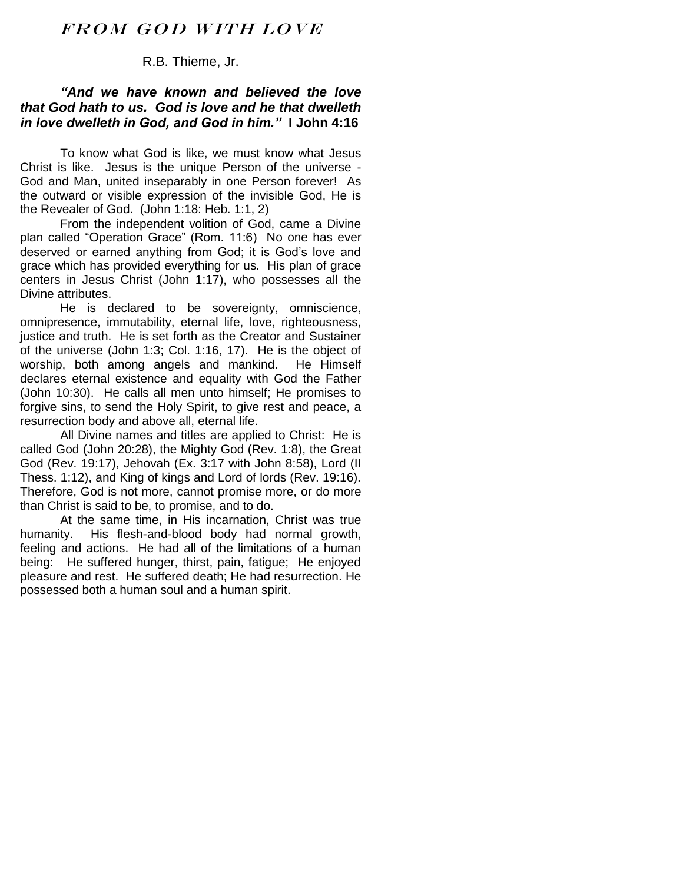# FROM GOD WITH LOVE

#### R.B. Thieme, Jr.

# *"And we have known and believed the love that God hath to us. God is love and he that dwelleth in love dwelleth in God, and God in him."* **I John 4:16**

To know what God is like, we must know what Jesus Christ is like. Jesus is the unique Person of the universe - God and Man, united inseparably in one Person forever! As the outward or visible expression of the invisible God, He is the Revealer of God. (John 1:18: Heb. 1:1, 2)

From the independent volition of God, came a Divine plan called "Operation Grace" (Rom. 11:6) No one has ever deserved or earned anything from God; it is God"s love and grace which has provided everything for us. His plan of grace centers in Jesus Christ (John 1:17), who possesses all the Divine attributes.

He is declared to be sovereignty, omniscience, omnipresence, immutability, eternal life, love, righteousness, justice and truth. He is set forth as the Creator and Sustainer of the universe (John 1:3; Col. 1:16, 17). He is the object of worship, both among angels and mankind. He Himself declares eternal existence and equality with God the Father (John 10:30). He calls all men unto himself; He promises to forgive sins, to send the Holy Spirit, to give rest and peace, a resurrection body and above all, eternal life.

All Divine names and titles are applied to Christ: He is called God (John 20:28), the Mighty God (Rev. 1:8), the Great God (Rev. 19:17), Jehovah (Ex. 3:17 with John 8:58), Lord (II Thess. 1:12), and King of kings and Lord of lords (Rev. 19:16). Therefore, God is not more, cannot promise more, or do more than Christ is said to be, to promise, and to do.

At the same time, in His incarnation, Christ was true humanity. His flesh-and-blood body had normal growth, feeling and actions. He had all of the limitations of a human being: He suffered hunger, thirst, pain, fatigue; He enjoyed pleasure and rest. He suffered death; He had resurrection. He possessed both a human soul and a human spirit.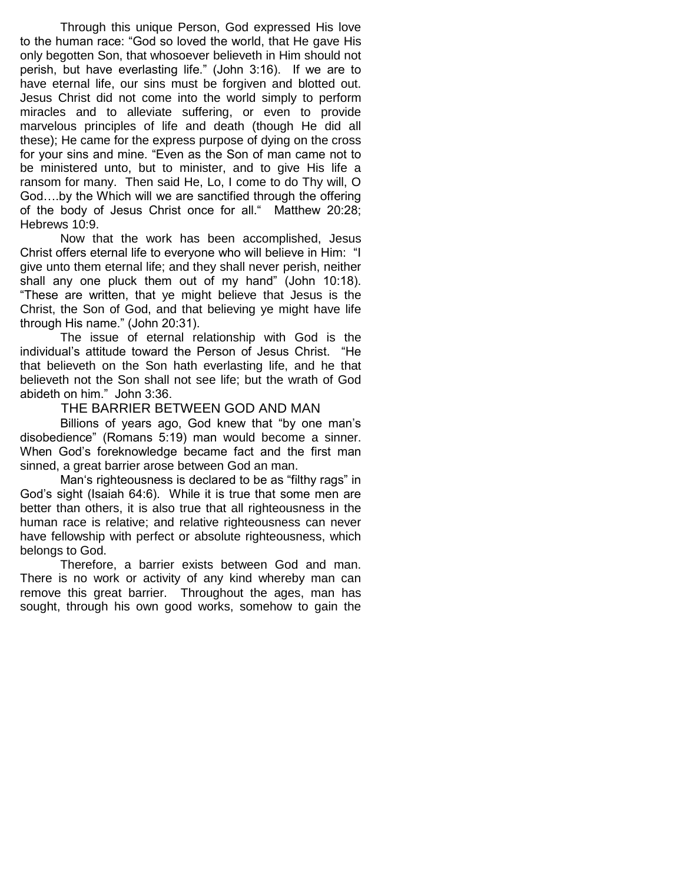Through this unique Person, God expressed His love to the human race: "God so loved the world, that He gave His only begotten Son, that whosoever believeth in Him should not perish, but have everlasting life." (John 3:16). If we are to have eternal life, our sins must be forgiven and blotted out. Jesus Christ did not come into the world simply to perform miracles and to alleviate suffering, or even to provide marvelous principles of life and death (though He did all these); He came for the express purpose of dying on the cross for your sins and mine. "Even as the Son of man came not to be ministered unto, but to minister, and to give His life a ransom for many. Then said He, Lo, I come to do Thy will, O God….by the Which will we are sanctified through the offering of the body of Jesus Christ once for all." Matthew 20:28; Hebrews 10:9.

Now that the work has been accomplished, Jesus Christ offers eternal life to everyone who will believe in Him: "I give unto them eternal life; and they shall never perish, neither shall any one pluck them out of my hand" (John 10:18). "These are written, that ye might believe that Jesus is the Christ, the Son of God, and that believing ye might have life through His name." (John 20:31).

The issue of eternal relationship with God is the individual"s attitude toward the Person of Jesus Christ. "He that believeth on the Son hath everlasting life, and he that believeth not the Son shall not see life; but the wrath of God abideth on him." John 3:36.

# THE BARRIER BETWEEN GOD AND MAN

Billions of years ago, God knew that "by one man"s disobedience" (Romans 5:19) man would become a sinner. When God"s foreknowledge became fact and the first man sinned, a great barrier arose between God an man.

Man's righteousness is declared to be as "filthy rags" in God"s sight (Isaiah 64:6). While it is true that some men are better than others, it is also true that all righteousness in the human race is relative; and relative righteousness can never have fellowship with perfect or absolute righteousness, which belongs to God.

Therefore, a barrier exists between God and man. There is no work or activity of any kind whereby man can remove this great barrier. Throughout the ages, man has sought, through his own good works, somehow to gain the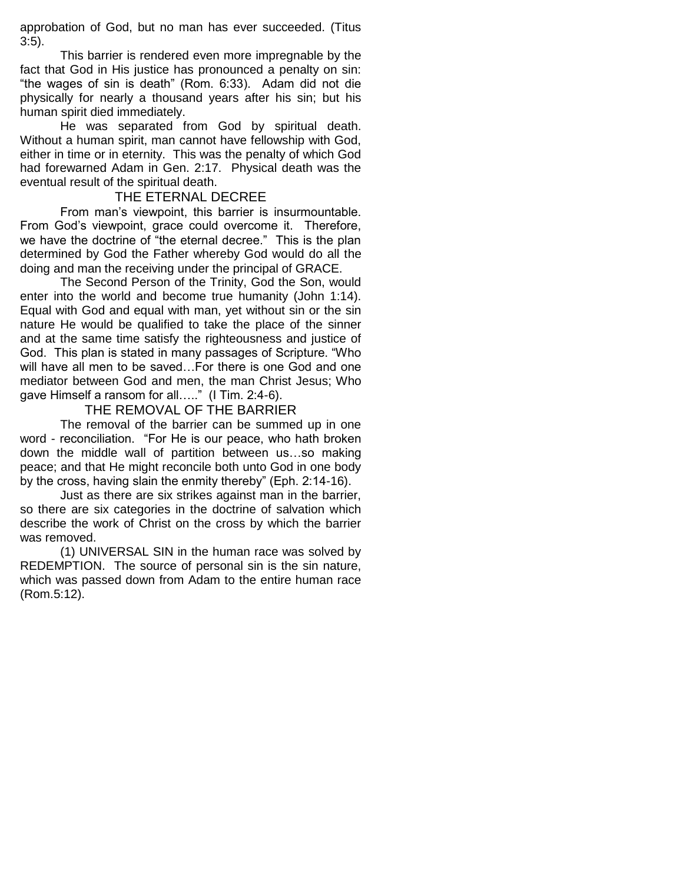approbation of God, but no man has ever succeeded. (Titus 3:5).

This barrier is rendered even more impregnable by the fact that God in His justice has pronounced a penalty on sin: "the wages of sin is death" (Rom. 6:33). Adam did not die physically for nearly a thousand years after his sin; but his human spirit died immediately.

He was separated from God by spiritual death. Without a human spirit, man cannot have fellowship with God, either in time or in eternity. This was the penalty of which God had forewarned Adam in Gen. 2:17. Physical death was the eventual result of the spiritual death.

# THE ETERNAL DECREE

From man"s viewpoint, this barrier is insurmountable. From God"s viewpoint, grace could overcome it. Therefore, we have the doctrine of "the eternal decree." This is the plan determined by God the Father whereby God would do all the doing and man the receiving under the principal of GRACE.

The Second Person of the Trinity, God the Son, would enter into the world and become true humanity (John 1:14). Equal with God and equal with man, yet without sin or the sin nature He would be qualified to take the place of the sinner and at the same time satisfy the righteousness and justice of God. This plan is stated in many passages of Scripture. "Who will have all men to be saved…For there is one God and one mediator between God and men, the man Christ Jesus; Who gave Himself a ransom for all….." (I Tim. 2:4-6).

# THE REMOVAL OF THE BARRIER

The removal of the barrier can be summed up in one word - reconciliation. "For He is our peace, who hath broken down the middle wall of partition between us…so making peace; and that He might reconcile both unto God in one body by the cross, having slain the enmity thereby" (Eph. 2:14-16).

Just as there are six strikes against man in the barrier, so there are six categories in the doctrine of salvation which describe the work of Christ on the cross by which the barrier was removed.

(1) UNIVERSAL SIN in the human race was solved by REDEMPTION. The source of personal sin is the sin nature, which was passed down from Adam to the entire human race (Rom.5:12).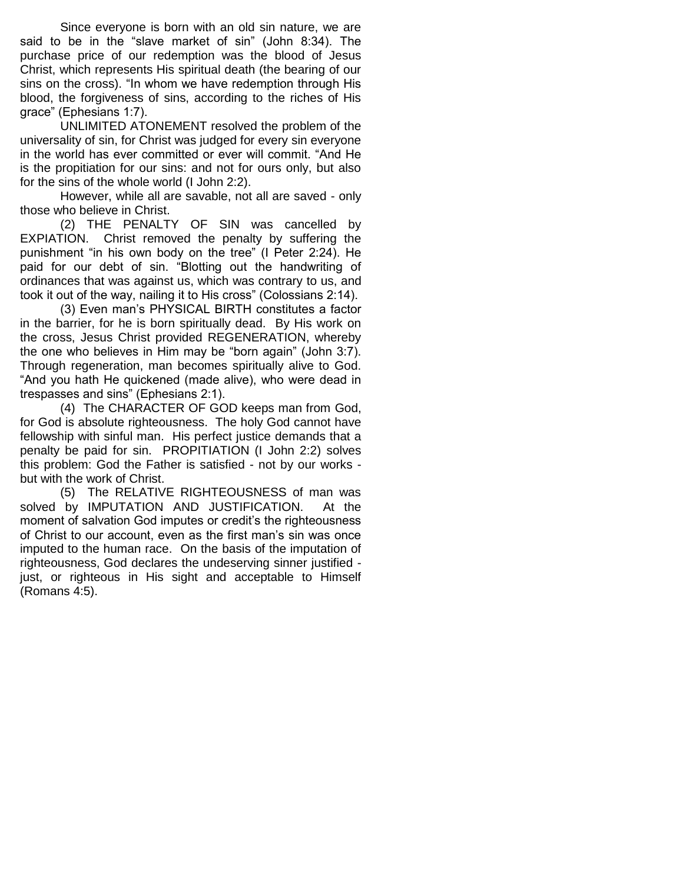Since everyone is born with an old sin nature, we are said to be in the "slave market of sin" (John 8:34). The purchase price of our redemption was the blood of Jesus Christ, which represents His spiritual death (the bearing of our sins on the cross). "In whom we have redemption through His blood, the forgiveness of sins, according to the riches of His grace" (Ephesians 1:7).

UNLIMITED ATONEMENT resolved the problem of the universality of sin, for Christ was judged for every sin everyone in the world has ever committed or ever will commit. "And He is the propitiation for our sins: and not for ours only, but also for the sins of the whole world (I John 2:2).

However, while all are savable, not all are saved - only those who believe in Christ.

(2) THE PENALTY OF SIN was cancelled by EXPIATION. Christ removed the penalty by suffering the punishment "in his own body on the tree" (I Peter 2:24). He paid for our debt of sin. "Blotting out the handwriting of ordinances that was against us, which was contrary to us, and took it out of the way, nailing it to His cross" (Colossians 2:14).

(3) Even man"s PHYSICAL BIRTH constitutes a factor in the barrier, for he is born spiritually dead. By His work on the cross, Jesus Christ provided REGENERATION, whereby the one who believes in Him may be "born again" (John 3:7). Through regeneration, man becomes spiritually alive to God. "And you hath He quickened (made alive), who were dead in trespasses and sins" (Ephesians 2:1).

(4) The CHARACTER OF GOD keeps man from God, for God is absolute righteousness. The holy God cannot have fellowship with sinful man. His perfect justice demands that a penalty be paid for sin. PROPITIATION (I John 2:2) solves this problem: God the Father is satisfied - not by our works but with the work of Christ.

(5) The RELATIVE RIGHTEOUSNESS of man was solved by IMPUTATION AND JUSTIFICATION. At the moment of salvation God imputes or credit's the righteousness of Christ to our account, even as the first man"s sin was once imputed to the human race. On the basis of the imputation of righteousness, God declares the undeserving sinner justified just, or righteous in His sight and acceptable to Himself (Romans 4:5).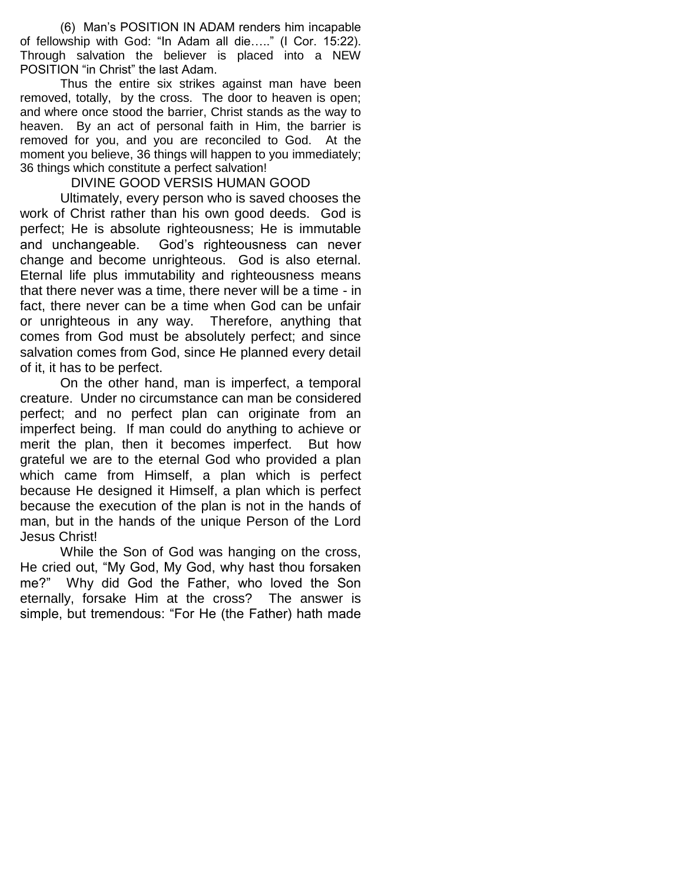(6) Man"s POSITION IN ADAM renders him incapable of fellowship with God: "In Adam all die….." (I Cor. 15:22). Through salvation the believer is placed into a NEW POSITION "in Christ" the last Adam.

Thus the entire six strikes against man have been removed, totally, by the cross. The door to heaven is open; and where once stood the barrier, Christ stands as the way to heaven. By an act of personal faith in Him, the barrier is removed for you, and you are reconciled to God. At the moment you believe, 36 things will happen to you immediately; 36 things which constitute a perfect salvation!

# DIVINE GOOD VERSIS HUMAN GOOD

Ultimately, every person who is saved chooses the work of Christ rather than his own good deeds. God is perfect; He is absolute righteousness; He is immutable and unchangeable. God"s righteousness can never change and become unrighteous. God is also eternal. Eternal life plus immutability and righteousness means that there never was a time, there never will be a time - in fact, there never can be a time when God can be unfair or unrighteous in any way. Therefore, anything that comes from God must be absolutely perfect; and since salvation comes from God, since He planned every detail of it, it has to be perfect.

On the other hand, man is imperfect, a temporal creature. Under no circumstance can man be considered perfect; and no perfect plan can originate from an imperfect being. If man could do anything to achieve or merit the plan, then it becomes imperfect. But how grateful we are to the eternal God who provided a plan which came from Himself, a plan which is perfect because He designed it Himself, a plan which is perfect because the execution of the plan is not in the hands of man, but in the hands of the unique Person of the Lord Jesus Christ!

While the Son of God was hanging on the cross, He cried out, "My God, My God, why hast thou forsaken me?" Why did God the Father, who loved the Son eternally, forsake Him at the cross? The answer is simple, but tremendous: "For He (the Father) hath made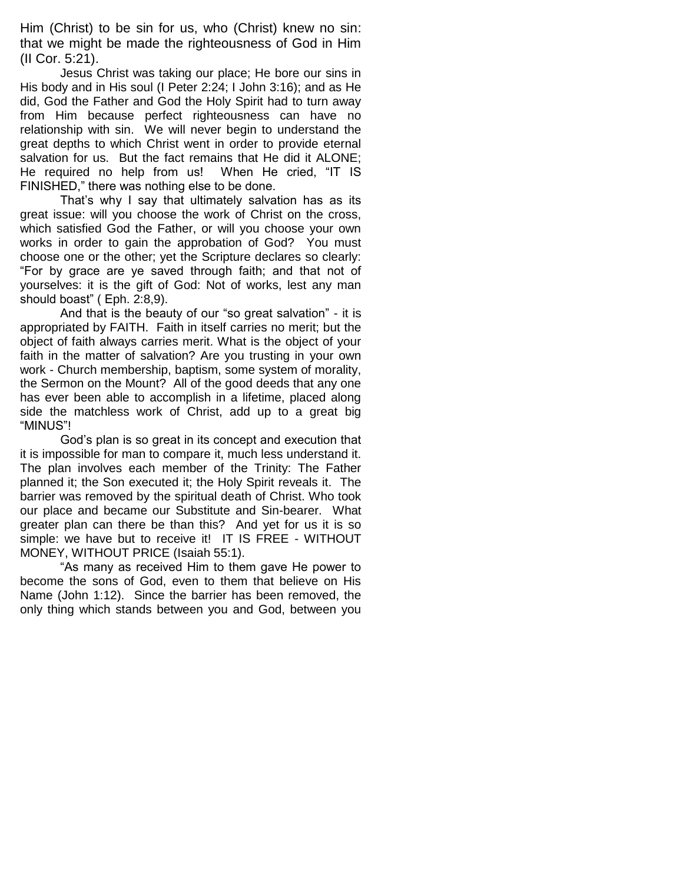Him (Christ) to be sin for us, who (Christ) knew no sin: that we might be made the righteousness of God in Him (II Cor. 5:21).

Jesus Christ was taking our place; He bore our sins in His body and in His soul (I Peter 2:24; I John 3:16); and as He did, God the Father and God the Holy Spirit had to turn away from Him because perfect righteousness can have no relationship with sin. We will never begin to understand the great depths to which Christ went in order to provide eternal salvation for us. But the fact remains that He did it ALONE; He required no help from us! When He cried, "IT IS FINISHED," there was nothing else to be done.

That"s why I say that ultimately salvation has as its great issue: will you choose the work of Christ on the cross, which satisfied God the Father, or will you choose your own works in order to gain the approbation of God? You must choose one or the other; yet the Scripture declares so clearly: "For by grace are ye saved through faith; and that not of yourselves: it is the gift of God: Not of works, lest any man should boast" (Eph. 2:8,9).

And that is the beauty of our "so great salvation" - it is appropriated by FAITH. Faith in itself carries no merit; but the object of faith always carries merit. What is the object of your faith in the matter of salvation? Are you trusting in your own work - Church membership, baptism, some system of morality, the Sermon on the Mount? All of the good deeds that any one has ever been able to accomplish in a lifetime, placed along side the matchless work of Christ, add up to a great big "MINUS"!

God"s plan is so great in its concept and execution that it is impossible for man to compare it, much less understand it. The plan involves each member of the Trinity: The Father planned it; the Son executed it; the Holy Spirit reveals it. The barrier was removed by the spiritual death of Christ. Who took our place and became our Substitute and Sin-bearer. What greater plan can there be than this? And yet for us it is so simple: we have but to receive it! IT IS FREE - WITHOUT MONEY, WITHOUT PRICE (Isaiah 55:1).

"As many as received Him to them gave He power to become the sons of God, even to them that believe on His Name (John 1:12). Since the barrier has been removed, the only thing which stands between you and God, between you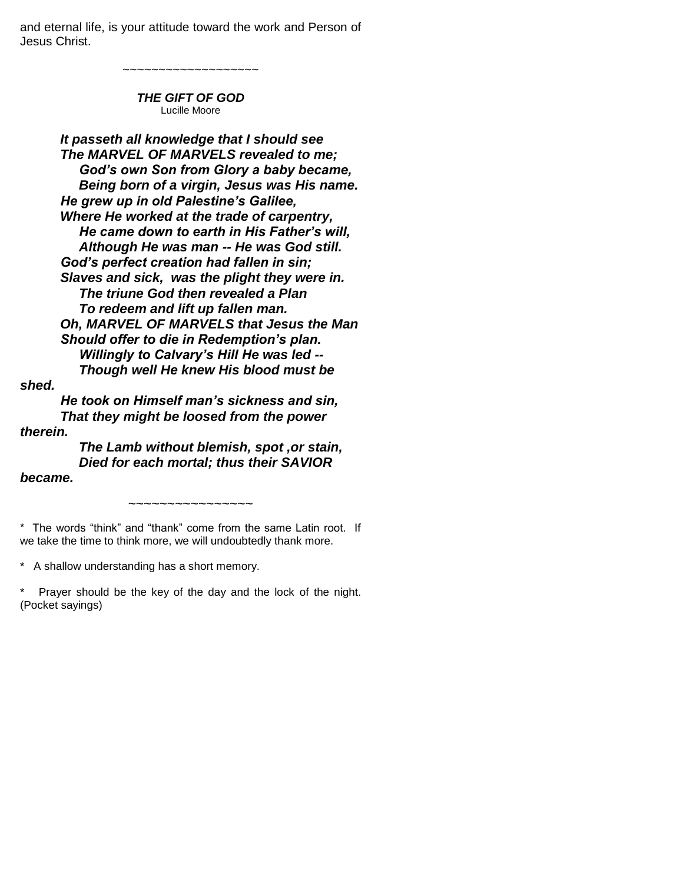and eternal life, is your attitude toward the work and Person of Jesus Christ.

~~~~~~~~~~~~~~~~~~~

#### *THE GIFT OF GOD* Lucille Moore

*It passeth all knowledge that I should see The MARVEL OF MARVELS revealed to me; God's own Son from Glory a baby became, Being born of a virgin, Jesus was His name. He grew up in old Palestine's Galilee, Where He worked at the trade of carpentry, He came down to earth in His Father's will, Although He was man -- He was God still. God's perfect creation had fallen in sin; Slaves and sick, was the plight they were in. The triune God then revealed a Plan To redeem and lift up fallen man. Oh, MARVEL OF MARVELS that Jesus the Man Should offer to die in Redemption's plan. Willingly to Calvary's Hill He was led -- Though well He knew His blood must be* 

*shed.*

*He took on Himself man's sickness and sin, That they might be loosed from the power therein.*

> *The Lamb without blemish, spot ,or stain, Died for each mortal; thus their SAVIOR*

*became.*

\* The words "think" and "thank" come from the same Latin root. If we take the time to think more, we will undoubtedly thank more.

 $~\sim$   $~\sim$   $~\sim$   $~\sim$   $~\sim$   $~\sim$   $~\sim$   $~\sim$   $~\sim$   $~\sim$ 

\* A shallow understanding has a short memory.

\* Prayer should be the key of the day and the lock of the night. (Pocket sayings)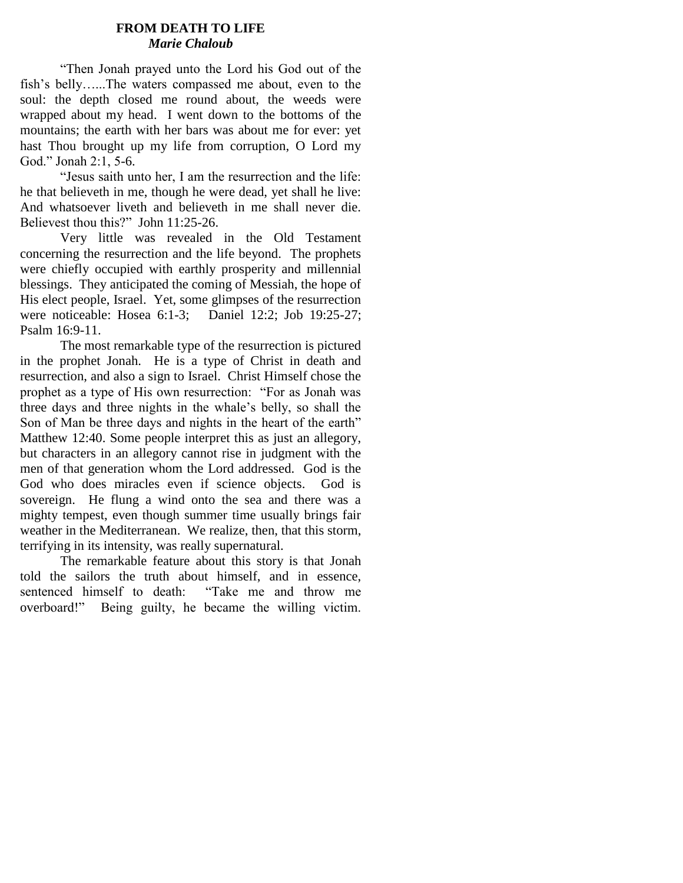# **FROM DEATH TO LIFE** *Marie Chaloub*

"Then Jonah prayed unto the Lord his God out of the fish's belly…...The waters compassed me about, even to the soul: the depth closed me round about, the weeds were wrapped about my head. I went down to the bottoms of the mountains; the earth with her bars was about me for ever: yet hast Thou brought up my life from corruption, O Lord my God." Jonah 2:1, 5-6.

"Jesus saith unto her, I am the resurrection and the life: he that believeth in me, though he were dead, yet shall he live: And whatsoever liveth and believeth in me shall never die. Believest thou this?"John 11:25-26.

Very little was revealed in the Old Testament concerning the resurrection and the life beyond. The prophets were chiefly occupied with earthly prosperity and millennial blessings. They anticipated the coming of Messiah, the hope of His elect people, Israel. Yet, some glimpses of the resurrection were noticeable: Hosea 6:1-3; Daniel 12:2; Job 19:25-27; Psalm 16:9-11.

The most remarkable type of the resurrection is pictured in the prophet Jonah. He is a type of Christ in death and resurrection, and also a sign to Israel. Christ Himself chose the prophet as a type of His own resurrection: "For as Jonah was three days and three nights in the whale's belly, so shall the Son of Man be three days and nights in the heart of the earth" Matthew 12:40. Some people interpret this as just an allegory, but characters in an allegory cannot rise in judgment with the men of that generation whom the Lord addressed. God is the God who does miracles even if science objects. God is sovereign. He flung a wind onto the sea and there was a mighty tempest, even though summer time usually brings fair weather in the Mediterranean. We realize, then, that this storm, terrifying in its intensity, was really supernatural.

The remarkable feature about this story is that Jonah told the sailors the truth about himself, and in essence, sentenced himself to death: "Take me and throw me overboard!" Being guilty, he became the willing victim.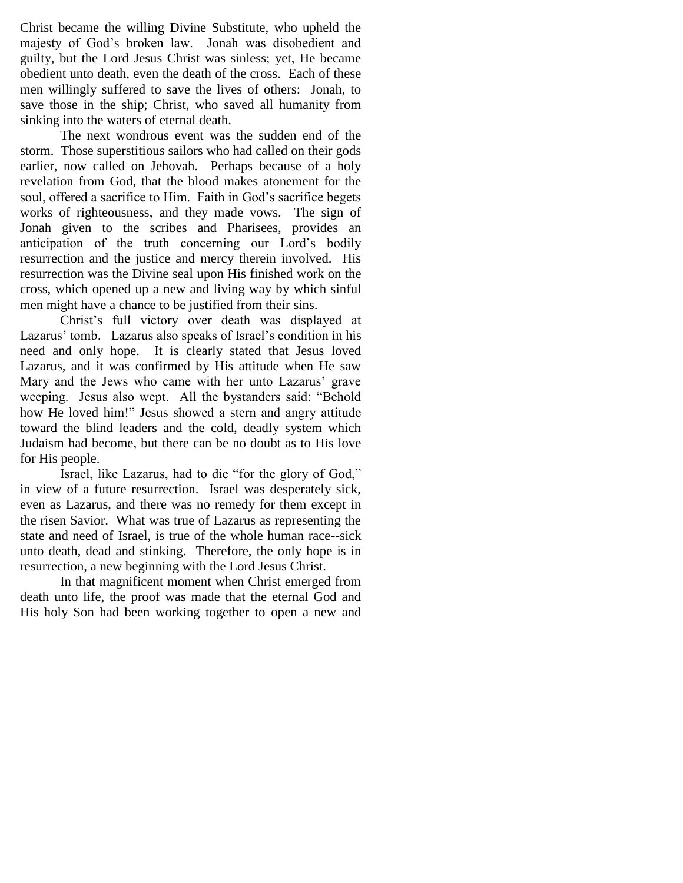Christ became the willing Divine Substitute, who upheld the majesty of God's broken law. Jonah was disobedient and guilty, but the Lord Jesus Christ was sinless; yet, He became obedient unto death, even the death of the cross. Each of these men willingly suffered to save the lives of others: Jonah, to save those in the ship; Christ, who saved all humanity from sinking into the waters of eternal death.

The next wondrous event was the sudden end of the storm. Those superstitious sailors who had called on their gods earlier, now called on Jehovah. Perhaps because of a holy revelation from God, that the blood makes atonement for the soul, offered a sacrifice to Him. Faith in God's sacrifice begets works of righteousness, and they made vows. The sign of Jonah given to the scribes and Pharisees, provides an anticipation of the truth concerning our Lord's bodily resurrection and the justice and mercy therein involved. His resurrection was the Divine seal upon His finished work on the cross, which opened up a new and living way by which sinful men might have a chance to be justified from their sins.

Christ's full victory over death was displayed at Lazarus' tomb. Lazarus also speaks of Israel's condition in his need and only hope. It is clearly stated that Jesus loved Lazarus, and it was confirmed by His attitude when He saw Mary and the Jews who came with her unto Lazarus' grave weeping. Jesus also wept. All the bystanders said: "Behold how He loved him!" Jesus showed a stern and angry attitude toward the blind leaders and the cold, deadly system which Judaism had become, but there can be no doubt as to His love for His people.

Israel, like Lazarus, had to die "for the glory of God," in view of a future resurrection. Israel was desperately sick, even as Lazarus, and there was no remedy for them except in the risen Savior. What was true of Lazarus as representing the state and need of Israel, is true of the whole human race--sick unto death, dead and stinking. Therefore, the only hope is in resurrection, a new beginning with the Lord Jesus Christ.

In that magnificent moment when Christ emerged from death unto life, the proof was made that the eternal God and His holy Son had been working together to open a new and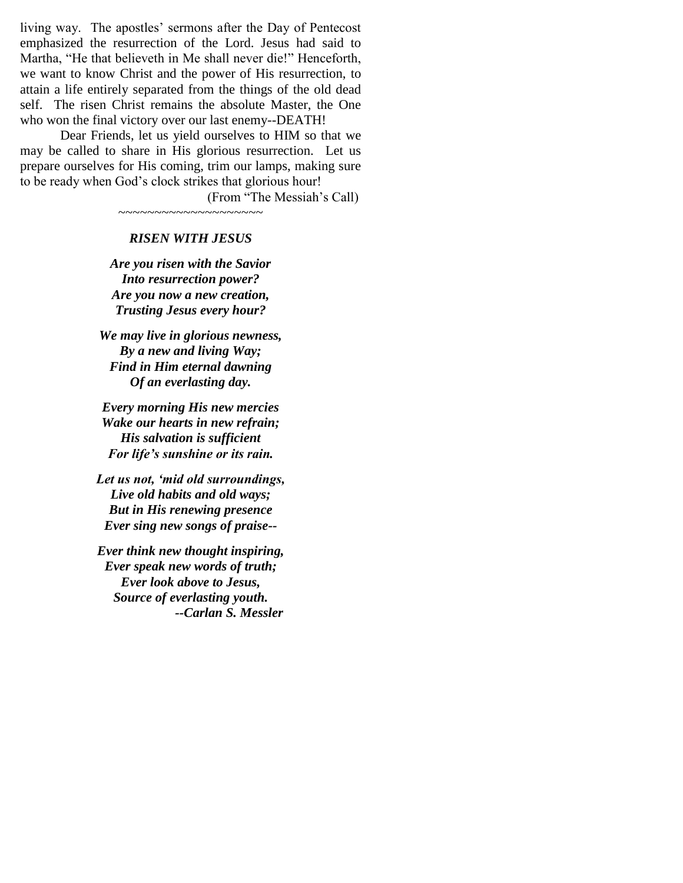living way. The apostles' sermons after the Day of Pentecost emphasized the resurrection of the Lord. Jesus had said to Martha, "He that believeth in Me shall never die!" Henceforth, we want to know Christ and the power of His resurrection, to attain a life entirely separated from the things of the old dead self. The risen Christ remains the absolute Master, the One who won the final victory over our last enemy--DEATH!

Dear Friends, let us yield ourselves to HIM so that we may be called to share in His glorious resurrection. Let us prepare ourselves for His coming, trim our lamps, making sure to be ready when God's clock strikes that glorious hour!

(From "The Messiah's Call)

# *RISEN WITH JESUS*

~~~~~~~~~~~~~~~~~~~~

*Are you risen with the Savior Into resurrection power? Are you now a new creation, Trusting Jesus every hour?*

*We may live in glorious newness, By a new and living Way; Find in Him eternal dawning Of an everlasting day.*

*Every morning His new mercies Wake our hearts in new refrain; His salvation is sufficient For life"s sunshine or its rain.*

*Let us not, "mid old surroundings, Live old habits and old ways; But in His renewing presence Ever sing new songs of praise--*

*Ever think new thought inspiring, Ever speak new words of truth; Ever look above to Jesus, Source of everlasting youth.* *--Carlan S. Messler*